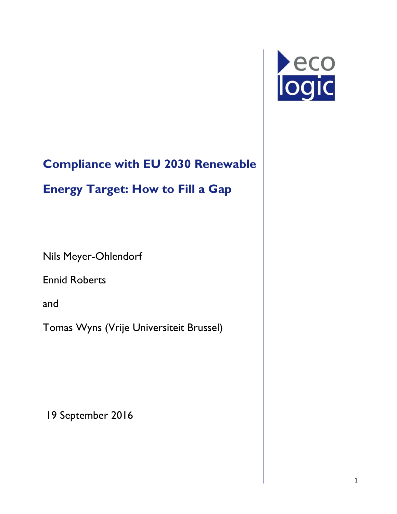

# **Compliance with EU 2030 Renewable**

# **Energy Target: How to Fill a Gap**

Nils Meyer-Ohlendorf

Ennid Roberts

and

Tomas Wyns (Vrije Universiteit Brussel)

19 September 2016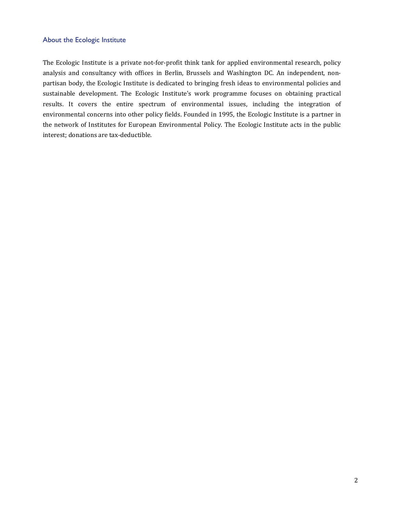#### About the Ecologic Institute

The Ecologic Institute is a private not-for-profit think tank for applied environmental research, policy analysis and consultancy with offices in Berlin, Brussels and Washington DC. An independent, nonpartisan body, the Ecologic Institute is dedicated to bringing fresh ideas to environmental policies and sustainable development. The Ecologic Institute's work programme focuses on obtaining practical results. It covers the entire spectrum of environmental issues, including the integration of environmental concerns into other policy fields. Founded in 1995, the Ecologic Institute is a partner in the network of Institutes for European Environmental Policy. The Ecologic Institute acts in the public interest; donations are tax-deductible.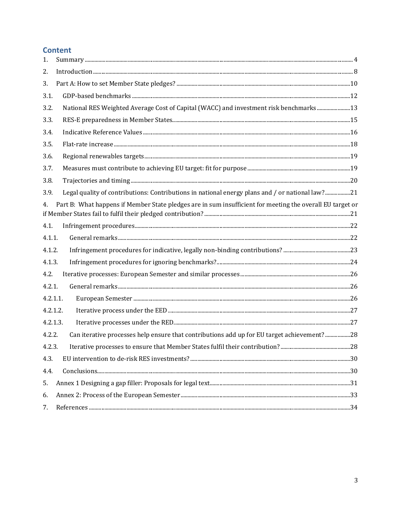#### **Content**

| 1.       |                                                                                                           |  |
|----------|-----------------------------------------------------------------------------------------------------------|--|
| 2.       |                                                                                                           |  |
| 3.       |                                                                                                           |  |
| 3.1.     |                                                                                                           |  |
| 3.2.     | National RES Weighted Average Cost of Capital (WACC) and investment risk benchmarks13                     |  |
| 3.3.     |                                                                                                           |  |
| 3.4.     |                                                                                                           |  |
| 3.5.     |                                                                                                           |  |
| 3.6.     |                                                                                                           |  |
| 3.7.     |                                                                                                           |  |
| 3.8.     |                                                                                                           |  |
| 3.9.     | Legal quality of contributions: Contributions in national energy plans and / or national law?21           |  |
| 4.       | Part B: What happens if Member State pledges are in sum insufficient for meeting the overall EU target or |  |
| 4.1.     |                                                                                                           |  |
| 4.1.1.   |                                                                                                           |  |
| 4.1.2.   |                                                                                                           |  |
| 4.1.3.   |                                                                                                           |  |
| 4.2.     |                                                                                                           |  |
| 4.2.1.   |                                                                                                           |  |
| 4.2.1.1. |                                                                                                           |  |
| 4.2.1.2. |                                                                                                           |  |
| 4.2.1.3. |                                                                                                           |  |
| 4.2.2.   | Can iterative processes help ensure that contributions add up for EU target achievement?28                |  |
| 4.2.3.   |                                                                                                           |  |
| 4.3.     |                                                                                                           |  |
| 4.4.     | Conclusions. 30                                                                                           |  |
| 5.       |                                                                                                           |  |
| 6.       |                                                                                                           |  |
| 7.       |                                                                                                           |  |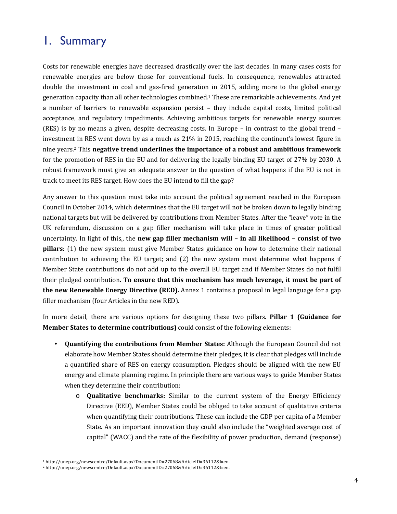#### 1. Summary

Costs for renewable energies have decreased drastically over the last decades. In many cases costs for renewable energies are below those for conventional fuels. In consequence, renewables attracted double the investment in coal and gas-fired generation in 2015, adding more to the global energy generation capacity than all other technologies combined.1 These are remarkable achievements. And yet a number of barriers to renewable expansion persist – they include capital costs, limited political acceptance, and regulatory impediments. Achieving ambitious targets for renewable energy sources (RES) is by no means a given, despite decreasing costs. In Europe – in contrast to the global trend – investment in RES went down by as a much as 21% in 2015, reaching the continent's lowest figure in nine years.2 This **negative trend underlines the importance of a robust and ambitious framework** for the promotion of RES in the EU and for delivering the legally binding EU target of 27% by 2030. A robust framework must give an adequate answer to the question of what happens if the EU is not in track to meet its RES target. How does the EU intend to fill the gap?

Any answer to this question must take into account the political agreement reached in the European Council in October 2014, which determines that the EU target will not be broken down to legally binding national targets but will be delivered by contributions from Member States. After the "leave" vote in the UK referendum, discussion on a gap filler mechanism will take place in times of greater political uncertainty. In light of this,, the **new gap filler mechanism will – in all likelihood – consist of two pillars**: (1) the new system must give Member States guidance on how to determine their national contribution to achieving the EU target; and (2) the new system must determine what happens if Member State contributions do not add up to the overall EU target and if Member States do not fulfil their pledged contribution. **To ensure that this mechanism has much leverage, it must be part of the new Renewable Energy Directive (RED).** Annex 1 contains a proposal in legal language for a gap filler mechanism (four Articles in the new RED).

In more detail, there are various options for designing these two pillars. **Pillar 1 (Guidance for Member States to determine contributions)** could consist of the following elements:

- **Quantifying the contributions from Member States:** Although the European Council did not elaborate how Member States should determine their pledges, it is clear that pledges will include a quantified share of RES on energy consumption. Pledges should be aligned with the new EU energy and climate planning regime. In principle there are various ways to guide Member States when they determine their contribution:
	- o **Qualitative benchmarks:** Similar to the current system of the Energy Efficiency Directive (EED), Member States could be obliged to take account of qualitative criteria when quantifying their contributions. These can include the GDP per capita of a Member State. As an important innovation they could also include the "weighted average cost of capital" (WACC) and the rate of the flexibility of power production, demand (response)

 $\overline{a}$ <sup>1</sup> http://unep.org/newscentre/Default.aspx?DocumentID=27068&ArticleID=36112&l=en.

<sup>2</sup> http://unep.org/newscentre/Default.aspx?DocumentID=27068&ArticleID=36112&l=en.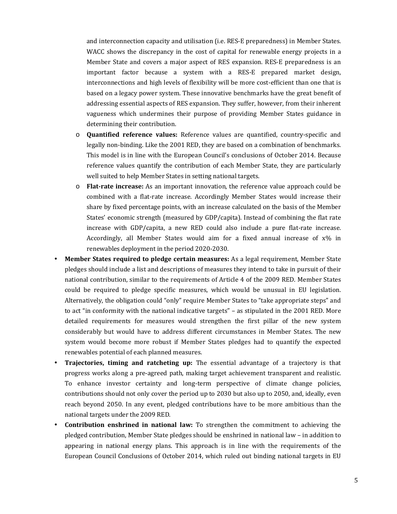and interconnection capacity and utilisation (i.e. RES-E preparedness) in Member States. WACC shows the discrepancy in the cost of capital for renewable energy projects in a Member State and covers a major aspect of RES expansion. RES-E preparedness is an important factor because a system with a RES-E prepared market design, interconnections and high levels of flexibility will be more cost-efficient than one that is based on a legacy power system. These innovative benchmarks have the great benefit of addressing essential aspects of RES expansion. They suffer, however, from their inherent vagueness which undermines their purpose of providing Member States guidance in determining their contribution.

- o **Quantified reference values:** Reference values are quantified, country-specific and legally non-binding. Like the 2001 RED, they are based on a combination of benchmarks. This model is in line with the European Council's conclusions of October 2014. Because reference values quantify the contribution of each Member State, they are particularly well suited to help Member States in setting national targets.
- o **Flat-rate increase:** As an important innovation, the reference value approach could be combined with a flat-rate increase. Accordingly Member States would increase their share by fixed percentage points, with an increase calculated on the basis of the Member States' economic strength (measured by GDP/capita). Instead of combining the flat rate increase with GDP/capita, a new RED could also include a pure flat-rate increase. Accordingly, all Member States would aim for a fixed annual increase of x% in renewables deployment in the period 2020-2030.
- **Member States required to pledge certain measures:** As a legal requirement, Member State pledges should include a list and descriptions of measures they intend to take in pursuit of their national contribution, similar to the requirements of Article 4 of the 2009 RED. Member States could be required to pledge specific measures, which would be unusual in EU legislation. Alternatively, the obligation could "only" require Member States to "take appropriate steps" and to act "in conformity with the national indicative targets" – as stipulated in the 2001 RED. More detailed requirements for measures would strengthen the first pillar of the new system considerably but would have to address different circumstances in Member States. The new system would become more robust if Member States pledges had to quantify the expected renewables potential of each planned measures.
- **Trajectories, timing and ratcheting up:** The essential advantage of a trajectory is that progress works along a pre-agreed path, making target achievement transparent and realistic. To enhance investor certainty and long-term perspective of climate change policies, contributions should not only cover the period up to 2030 but also up to 2050, and, ideally, even reach beyond 2050. In any event, pledged contributions have to be more ambitious than the national targets under the 2009 RED.
- **Contribution enshrined in national law:** To strengthen the commitment to achieving the pledged contribution, Member State pledges should be enshrined in national law – in addition to appearing in national energy plans. This approach is in line with the requirements of the European Council Conclusions of October 2014, which ruled out binding national targets in EU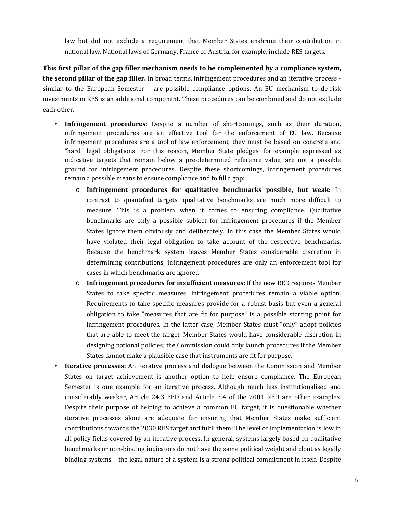law but did not exclude a requirement that Member States enshrine their contribution in national law. National laws of Germany, France or Austria, for example, include RES targets.

**This first pillar of the gap filler mechanism needs to be complemented by a compliance system, the second pillar of the gap filler.** In broad terms, infringement procedures and an iterative process similar to the European Semester – are possible compliance options. An EU mechanism to de-risk investments in RES is an additional component. These procedures can be combined and do not exclude each other.

- **Infringement procedures:** Despite a number of shortcomings, such as their duration, infringement procedures are an effective tool for the enforcement of EU law. Because infringement procedures are a tool of law enforcement, they must be based on concrete and "hard" legal obligations. For this reason, Member State pledges, for example expressed as indicative targets that remain below a pre-determined reference value, are not a possible ground for infringement procedures. Despite these shortcomings, infringement procedures remain a possible means to ensure compliance and to fill a gap:
	- o **Infringement procedures for qualitative benchmarks possible, but weak:** In contrast to quantified targets, qualitative benchmarks are much more difficult to measure. This is a problem when it comes to ensuring compliance. Qualitative benchmarks are only a possible subject for infringement procedures if the Member States ignore them obviously and deliberately. In this case the Member States would have violated their legal obligation to take account of the respective benchmarks. Because the benchmark system leaves Member States considerable discretion in determining contributions, infringement procedures are only an enforcement tool for cases in which benchmarks are ignored.
	- o **Infringement procedures for insufficient measures:** If the new RED requires Member States to take specific measures, infringement procedures remain a viable option. Requirements to take specific measures provide for a robust basis but even a general obligation to take "measures that are fit for purpose" is a possible starting point for infringement procedures. In the latter case, Member States must "only" adopt policies that are able to meet the target. Member States would have considerable discretion in designing national policies; the Commission could only launch procedures if the Member States cannot make a plausible case that instruments are fit for purpose.
- **Iterative processes:** An iterative process and dialogue between the Commission and Member States on target achievement is another option to help ensure compliance. The European Semester is one example for an iterative process. Although much less institutionalised and considerably weaker, Article 24.3 EED and Article 3.4 of the 2001 RED are other examples. Despite their purpose of helping to achieve a common EU target, it is questionable whether iterative processes alone are adequate for ensuring that Member States make sufficient contributions towards the 2030 RES target and fulfil them: The level of implementation is low in all policy fields covered by an iterative process. In general, systems largely based on qualitative benchmarks or non-binding indicators do not have the same political weight and clout as legally binding systems – the legal nature of a system is a strong political commitment in itself. Despite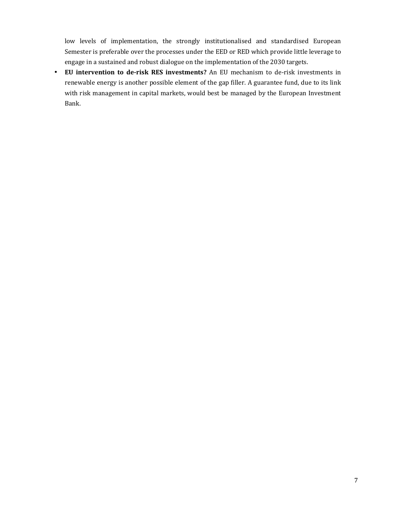low levels of implementation, the strongly institutionalised and standardised European Semester is preferable over the processes under the EED or RED which provide little leverage to engage in a sustained and robust dialogue on the implementation of the 2030 targets.

• **EU intervention to de-risk RES investments?** An EU mechanism to de-risk investments in renewable energy is another possible element of the gap filler. A guarantee fund, due to its link with risk management in capital markets, would best be managed by the European Investment Bank.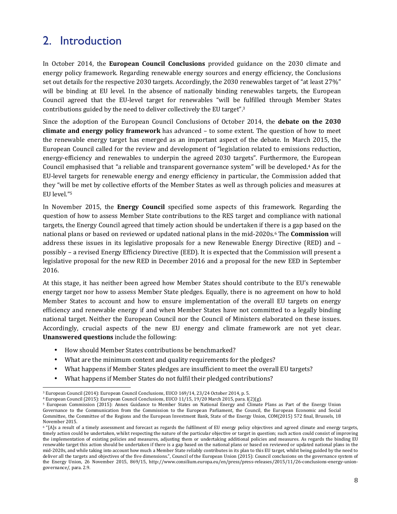### 2. Introduction

In October 2014, the **European Council Conclusions** provided guidance on the 2030 climate and energy policy framework. Regarding renewable energy sources and energy efficiency, the Conclusions set out details for the respective 2030 targets. Accordingly, the 2030 renewables target of "at least 27%" will be binding at EU level. In the absence of nationally binding renewables targets, the European Council agreed that the EU-level target for renewables "will be fulfilled through Member States contributions guided by the need to deliver collectively the EU target".<sup>3</sup>

Since the adoption of the European Council Conclusions of October 2014, the **debate on the 2030 climate and energy policy framework** has advanced – to some extent. The question of how to meet the renewable energy target has emerged as an important aspect of the debate. In March 2015, the European Council called for the review and development of "legislation related to emissions reduction, energy-efficiency and renewables to underpin the agreed 2030 targets". Furthermore, the European Council emphasised that "a reliable and transparent governance system" will be developed.4 As for the EU-level targets for renewable energy and energy efficiency in particular, the Commission added that they "will be met by collective efforts of the Member States as well as through policies and measures at EU level."<sup>5</sup>

In November 2015, the **Energy Council** specified some aspects of this framework. Regarding the question of how to assess Member State contributions to the RES target and compliance with national targets, the Energy Council agreed that timely action should be undertaken if there is a gap based on the national plans or based on reviewed or updated national plans in the mid-2020s.6 The **Commission** will address these issues in its legislative proposals for a new Renewable Energy Directive (RED) and – possibly – a revised Energy Efficiency Directive (EED). It is expected that the Commission will present a legislative proposal for the new RED in December 2016 and a proposal for the new EED in September 2016.

At this stage, it has neither been agreed how Member States should contribute to the EU's renewable energy target nor how to assess Member State pledges. Equally, there is no agreement on how to hold Member States to account and how to ensure implementation of the overall EU targets on energy efficiency and renewable energy if and when Member States have not committed to a legally binding national target. Neither the European Council nor the Council of Ministers elaborated on these issues. Accordingly, crucial aspects of the new EU energy and climate framework are not yet clear. **Unanswered questions** include the following:

- How should Member States contributions be benchmarked?
- What are the minimum content and quality requirements for the pledges?
- What happens if Member States pledges are insufficient to meet the overall EU targets?
- What happens if Member States do not fulfil their pledged contributions?

 $\overline{a}$ <sup>3</sup> European Council (2014): European Council Conclusions, EUCO 169/14, 23/24 October 2014, p. 5.

<sup>4</sup> European Council (2015): European Council Conclusions, EUCO 11/15, 19/20 March 2015, para. I(2)(g).

<sup>5</sup> European Commission (2015): Annex Guidance to Member States on National Energy and Climate Plans as Part of the Energy Union Governance to the Communication from the Commission to the European Parliament, the Council, the European Economic and Social Committee, the Committee of the Regions and the European Investment Bank, State of the Energy Union, COM(2015) 572 final, Brussels, 18 November 2015.

<sup>&</sup>lt;sup>6</sup> "[A]s a result of a timely assessment and forecast as regards the fulfilment of EU energy policy objectives and agreed climate and energy targets, timely action could be undertaken, whilst respecting the nature of the particular objective or target in question; such action could consist of improving the implementation of existing policies and measures, adjusting them or undertaking additional policies and measures. As regards the binding EU renewable target this action should be undertaken if there is a gap based on the national plans or based on reviewed or updated national plans in the mid-2020s, and while taking into account how much a Member State reliably contributes in its plan to this EU target, whilst being guided by the need to deliver all the targets and objectives of the five dimensions.", Council of the European Union (2015): Council conclusions on the governance system of the Energy Union, 26 November 2015, 869/15, http://www.consilium.europa.eu/en/press/press-releases/2015/11/26-conclusions-energy-uniongovernance/, para. 2.9.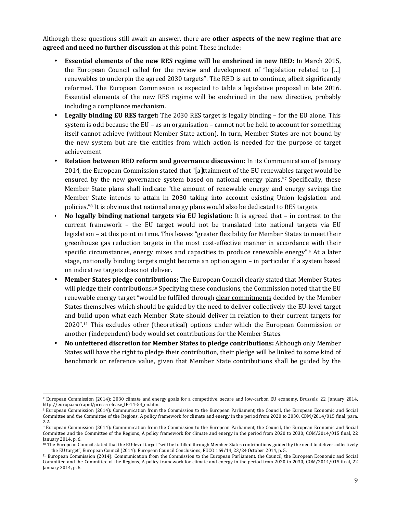Although these questions still await an answer, there are **other aspects of the new regime that are agreed and need no further discussion** at this point. These include:

- **Essential elements of the new RES regime will be enshrined in new RED:** In March 2015, the European Council called for the review and development of "legislation related to […] renewables to underpin the agreed 2030 targets". The RED is set to continue, albeit significantly reformed. The European Commission is expected to table a legislative proposal in late 2016. Essential elements of the new RES regime will be enshrined in the new directive, probably including a compliance mechanism.
- **Legally binding EU RES target:** The 2030 RES target is legally binding for the EU alone. This system is odd because the EU – as an organisation – cannot not be held to account for something itself cannot achieve (without Member State action). In turn, Member States are not bound by the new system but are the entities from which action is needed for the purpose of target achievement.
- **Relation between RED reform and governance discussion:** In its Communication of January 2014, the European Commission stated that "[a]ttainment of the EU renewables target would be ensured by the new governance system based on national energy plans."7 Specifically, these Member State plans shall indicate "the amount of renewable energy and energy savings the Member State intends to attain in 2030 taking into account existing Union legislation and policies."8 It is obvious that national energy plans would also be dedicated to RES targets.
- **No legally binding national targets via EU legislation:** It is agreed that in contrast to the current framework – the EU target would not be translated into national targets via EU legislation – at this point in time. This leaves "greater flexibility for Member States to meet their greenhouse gas reduction targets in the most cost-effective manner in accordance with their specific circumstances, energy mixes and capacities to produce renewable energy".9 At a later stage, nationally binding targets might become an option again – in particular if a system based on indicative targets does not deliver.
- **Member States pledge contributions:** The European Council clearly stated that Member States will pledge their contributions.10 Specifying these conclusions, the Commission noted that the EU renewable energy target "would be fulfilled through clear commitments decided by the Member States themselves which should be guided by the need to deliver collectively the EU-level target and build upon what each Member State should deliver in relation to their current targets for 2020".11 This excludes other (theoretical) options under which the European Commission or another (independent) body would set contributions for the Member States.
- **No unfettered discretion for Member States to pledge contributions:** Although only Member States will have the right to pledge their contribution, their pledge will be linked to some kind of benchmark or reference value, given that Member State contributions shall be guided by the

<sup>7</sup> European Commission (2014): 2030 climate and energy goals for a competitive, secure and low-carbon EU economy, Brussels, 22. January 2014, http://europa.eu/rapid/press-release\_IP-14-54\_en.htm.

<sup>8</sup> European Commission (2014): Communication from the Commission to the European Parliament, the Council, the European Economic and Social Committee and the Committee of the Regions, A policy framework for climate and energy in the period from 2020 to 2030, COM/2014/015 final, para. 2.2.

<sup>9</sup> European Commission (2014): Communication from the Commission to the European Parliament, the Council, the European Economic and Social Committee and the Committee of the Regions, A policy framework for climate and energy in the period from 2020 to 2030, COM/2014/015 final, 22 January 2014, p. 6.

<sup>&</sup>lt;sup>10</sup> The European Council stated that the EU-level target "will be fulfilled through Member States contributions guided by the need to deliver collectively the EU target", European Council (2014): European Council Conclusions, EUCO 169/14, 23/24 October 2014, p. 5.

<sup>11</sup> European Commission (2014): Communication from the Commission to the European Parliament, the Council, the European Economic and Social Committee and the Committee of the Regions, A policy framework for climate and energy in the period from 2020 to 2030, COM/2014/015 final, 22 January 2014, p. 6.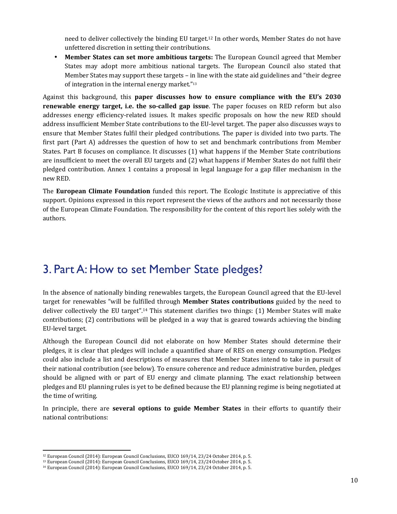need to deliver collectively the binding EU target.12 In other words, Member States do not have unfettered discretion in setting their contributions.

• **Member States can set more ambitious targets:** The European Council agreed that Member States may adopt more ambitious national targets. The European Council also stated that Member States may support these targets – in line with the state aid guidelines and "their degree of integration in the internal energy market."<sup>13</sup>

Against this background, this **paper discusses how to ensure compliance with the EU's 2030 renewable energy target, i.e. the so-called gap issue**. The paper focuses on RED reform but also addresses energy efficiency-related issues. It makes specific proposals on how the new RED should address insufficient Member State contributions to the EU-level target. The paper also discusses ways to ensure that Member States fulfil their pledged contributions. The paper is divided into two parts. The first part (Part A) addresses the question of how to set and benchmark contributions from Member States. Part B focuses on compliance. It discusses (1) what happens if the Member State contributions are insufficient to meet the overall EU targets and (2) what happens if Member States do not fulfil their pledged contribution. Annex 1 contains a proposal in legal language for a gap filler mechanism in the new RED.

The **European Climate Foundation** funded this report. The Ecologic Institute is appreciative of this support. Opinions expressed in this report represent the views of the authors and not necessarily those of the European Climate Foundation. The responsibility for the content of this report lies solely with the authors.

#### 3. Part A: How to set Member State pledges?

In the absence of nationally binding renewables targets, the European Council agreed that the EU-level target for renewables "will be fulfilled through **Member States contributions** guided by the need to deliver collectively the EU target".14 This statement clarifies two things: (1) Member States will make contributions; (2) contributions will be pledged in a way that is geared towards achieving the binding EU-level target.

Although the European Council did not elaborate on how Member States should determine their pledges, it is clear that pledges will include a quantified share of RES on energy consumption. Pledges could also include a list and descriptions of measures that Member States intend to take in pursuit of their national contribution (see below). To ensure coherence and reduce administrative burden, pledges should be aligned with or part of EU energy and climate planning. The exact relationship between pledges and EU planning rules is yet to be defined because the EU planning regime is being negotiated at the time of writing.

In principle, there are **several options to guide Member States** in their efforts to quantify their national contributions:

<sup>12</sup> European Council (2014): European Council Conclusions, EUCO 169/14, 23/24 October 2014, p. 5.

<sup>13</sup> European Council (2014): European Council Conclusions, EUCO 169/14, 23/24 October 2014, p. 5.

<sup>14</sup> European Council (2014): European Council Conclusions, EUCO 169/14, 23/24 October 2014, p. 5.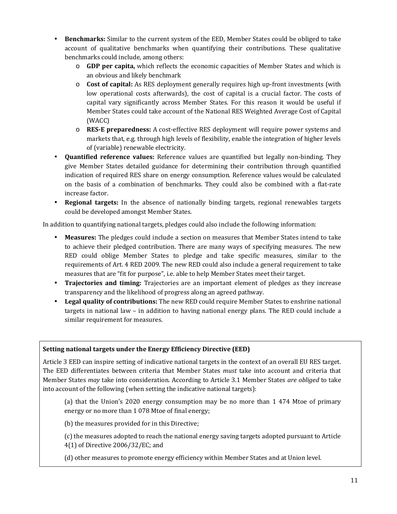- **Benchmarks:** Similar to the current system of the EED, Member States could be obliged to take account of qualitative benchmarks when quantifying their contributions. These qualitative benchmarks could include, among others:
	- o **GDP per capita,** which reflects the economic capacities of Member States and which is an obvious and likely benchmark
	- o **Cost of capital:** As RES deployment generally requires high up-front investments (with low operational costs afterwards), the cost of capital is a crucial factor. The costs of capital vary significantly across Member States. For this reason it would be useful if Member States could take account of the National RES Weighted Average Cost of Capital (WACC)
	- o **RES-E preparedness:** A cost-effective RES deployment will require power systems and markets that, e.g. through high levels of flexibility, enable the integration of higher levels of (variable) renewable electricity.
- **Quantified reference values:** Reference values are quantified but legally non-binding. They give Member States detailed guidance for determining their contribution through quantified indication of required RES share on energy consumption. Reference values would be calculated on the basis of a combination of benchmarks. They could also be combined with a flat-rate increase factor.
- **Regional targets:** In the absence of nationally binding targets, regional renewables targets could be developed amongst Member States.

In addition to quantifying national targets, pledges could also include the following information:

- **Measures:** The pledges could include a section on measures that Member States intend to take to achieve their pledged contribution. There are many ways of specifying measures. The new RED could oblige Member States to pledge and take specific measures, similar to the requirements of Art. 4 RED 2009. The new RED could also include a general requirement to take measures that are "fit for purpose", i.e. able to help Member States meet their target.
- **Trajectories and timing:** Trajectories are an important element of pledges as they increase transparency and the likelihood of progress along an agreed pathway.
- **Legal quality of contributions:** The new RED could require Member States to enshrine national targets in national law – in addition to having national energy plans. The RED could include a similar requirement for measures.

#### **Setting national targets under the Energy Efficiency Directive (EED)**

Article 3 EED can inspire setting of indicative national targets in the context of an overall EU RES target. The EED differentiates between criteria that Member States *must* take into account and criteria that Member States *may* take into consideration. According to Article 3.1 Member States *are obliged* to take into account of the following (when setting the indicative national targets):

(a) that the Union's 2020 energy consumption may be no more than 1 474 Mtoe of primary energy or no more than 1 078 Mtoe of final energy;

(b) the measures provided for in this Directive;

(c) the measures adopted to reach the national energy saving targets adopted pursuant to Article

4(1) of Directive 2006/32/EC; and

(d) other measures to promote energy efficiency within Member States and at Union level.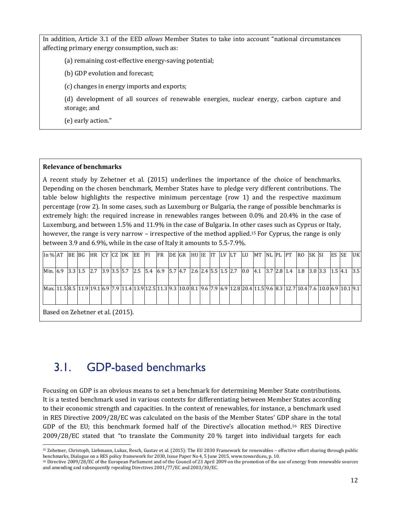In addition, Article 3.1 of the EED *allows* Member States to take into account "national circumstances affecting primary energy consumption, such as:

(a) remaining cost-effective energy-saving potential;

(b) GDP evolution and forecast;

(c) changes in energy imports and exports;

(d) development of all sources of renewable energies, nuclear energy, carbon capture and storage; and

(e) early action."

#### **Relevance of benchmarks**

l

A recent study by Zehetner et al. (2015) underlines the importance of the choice of benchmarks. Depending on the chosen benchmark, Member States have to pledge very different contributions. The table below highlights the respective minimum percentage (row 1) and the respective maximum percentage (row 2). In some cases, such as Luxemburg or Bulgaria, the range of possible benchmarks is extremely high: the required increase in renewables ranges between 0.0% and 20.4% in the case of Luxemburg, and between 1.5% and 11.9% in the case of Bulgaria. In other cases such as Cyprus or Italy, however, the range is very narrow – irrespective of the method applied.<sup>15</sup> For Cyprus, the range is only between 3.9 and 6.9%, while in the case of Italy it amounts to 5.5-7.9%.

| In % AT  |                                  | BE BG   |  | HR CYCZ DK |  |  |  | EE | <b>FI</b>                                                   | <b>FR</b> |  | DE GR |  |  | HUIE IT LV LT | LU                                          | MT INL PL IPT |  | RO. | SK SI | ES SE |  | UK |
|----------|----------------------------------|---------|--|------------|--|--|--|----|-------------------------------------------------------------|-----------|--|-------|--|--|---------------|---------------------------------------------|---------------|--|-----|-------|-------|--|----|
|          |                                  |         |  |            |  |  |  |    |                                                             |           |  |       |  |  |               |                                             |               |  |     |       |       |  |    |
| Min. 6.9 |                                  | 3.3 1.5 |  | 2.7        |  |  |  |    | $\vert$ 3.9 3.5 5.7 2.5 5.4 6.9 5.7 4.7 2.6 2.4 5.5 1.5 2.7 |           |  |       |  |  |               | 0.0 4.1 3.7 2.8 1.4 1.8 3.0 3.3 1.5 4.1 3.5 |               |  |     |       |       |  |    |
|          |                                  |         |  |            |  |  |  |    |                                                             |           |  |       |  |  |               |                                             |               |  |     |       |       |  |    |
|          |                                  |         |  |            |  |  |  |    |                                                             |           |  |       |  |  |               |                                             |               |  |     |       |       |  |    |
|          |                                  |         |  |            |  |  |  |    |                                                             |           |  |       |  |  |               |                                             |               |  |     |       |       |  |    |
|          |                                  |         |  |            |  |  |  |    |                                                             |           |  |       |  |  |               |                                             |               |  |     |       |       |  |    |
|          | Based on Zehetner et al. (2015). |         |  |            |  |  |  |    |                                                             |           |  |       |  |  |               |                                             |               |  |     |       |       |  |    |
|          |                                  |         |  |            |  |  |  |    |                                                             |           |  |       |  |  |               |                                             |               |  |     |       |       |  |    |

### 3.1. GDP-based benchmarks

Focusing on GDP is an obvious means to set a benchmark for determining Member State contributions. It is a tested benchmark used in various contexts for differentiating between Member States according to their economic strength and capacities. In the context of renewables, for instance, a benchmark used in RES Directive 2009/28/EC was calculated on the basis of the Member States' GDP share in the total GDP of the EU; this benchmark formed half of the Directive's allocation method.16 RES Directive 2009/28/EC stated that "to translate the Community 20 % target into individual targets for each

<sup>15</sup> Zehetner, Christoph, Liebmann, Lukas, Resch, Gustav et al. (2015): The EU 2030 Framework for renewables – effective effort sharing through public benchmarks, Dialogue on a RES policy framework for 2030, Issue Paper No 4, 5 June 2015, www.towards.eu, p. 10.

<sup>16</sup> Directive 2009/28/EC of the European Parliament and of the Council of 23 April 2009 on the promotion of the use of energy from renewable sources and amending and subsequently repealing Directives 2001/77/EC and 2003/30/EC.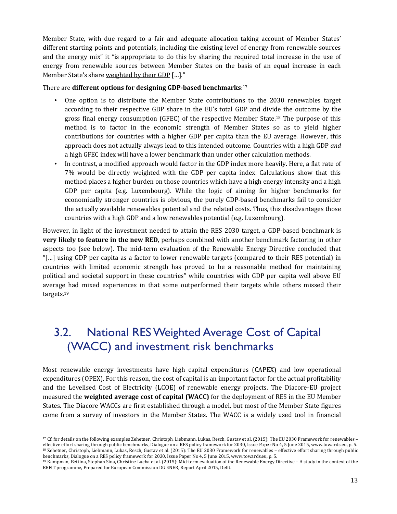Member State, with due regard to a fair and adequate allocation taking account of Member States' different starting points and potentials, including the existing level of energy from renewable sources and the energy mix" it "is appropriate to do this by sharing the required total increase in the use of energy from renewable sources between Member States on the basis of an equal increase in each Member State's share weighted by their GDP [...]."

#### There are **different options for designing GDP-based benchmarks**: 17

- One option is to distribute the Member State contributions to the 2030 renewables target according to their respective GDP share in the EU's total GDP and divide the outcome by the gross final energy consumption (GFEC) of the respective Member State.18 The purpose of this method is to factor in the economic strength of Member States so as to yield higher contributions for countries with a higher GDP per capita than the EU average. However, this approach does not actually always lead to this intended outcome. Countries with a high GDP *and* a high GFEC index will have a lower benchmark than under other calculation methods.
- In contrast, a modified approach would factor in the GDP index more heavily. Here, a flat rate of 7% would be directly weighted with the GDP per capita index. Calculations show that this method places a higher burden on those countries which have a high energy intensity and a high GDP per capita (e.g. Luxembourg). While the logic of aiming for higher benchmarks for economically stronger countries is obvious, the purely GDP-based benchmarks fail to consider the actually available renewables potential and the related costs. Thus, this disadvantages those countries with a high GDP and a low renewables potential (e.g. Luxembourg).

However, in light of the investment needed to attain the RES 2030 target, a GDP-based benchmark is **very likely to feature in the new RED**, perhaps combined with another benchmark factoring in other aspects too (see below). The mid-term evaluation of the Renewable Energy Directive concluded that "[…] using GDP per capita as a factor to lower renewable targets (compared to their RES potential) in countries with limited economic strength has proved to be a reasonable method for maintaining political and societal support in these countries" while countries with GDP per capita well above EU average had mixed experiences in that some outperformed their targets while others missed their targets.<sup>19</sup>

## 3.2. National RES Weighted Average Cost of Capital (WACC) and investment risk benchmarks

Most renewable energy investments have high capital expenditures (CAPEX) and low operational expenditures (OPEX). For this reason, the cost of capital is an important factor for the actual profitability and the Levelised Cost of Electricity (LCOE) of renewable energy projects. The Diacore-EU project measured the **weighted average cost of capital (WACC)** for the deployment of RES in the EU Member States. The Diacore WACCs are first established through a model, but most of the Member State figures come from a survey of investors in the Member States. The WACC is a widely used tool in financial

 $\overline{a}$ <sup>17</sup> Cf. for details on the following examples Zehetner, Christoph, Liebmann, Lukas, Resch, Gustav et al. (2015): The EU 2030 Framework for renewables – effective effort sharing through public benchmarks, Dialogue on a RES policy framework for 2030, Issue Paper No 4, 5 June 2015, www.towards.eu, p. 5. <sup>18</sup> Zehetner, Christoph, Liebmann, Lukas, Resch, Gustav et al. (2015): The EU 2030 Framework for renewables - effective effort sharing through public benchmarks, Dialogue on a RES policy framework for 2030, Issue Paper No 4, 5 June 2015, www.towards.eu, p. 5.

<sup>19</sup> Kampman, Bettina, Stephan Sina, Christine Lucha et al. (2015): Mid-term evaluation of the Renewable Energy Directive – A study in the context of the REFIT programme, Prepared for European Commission DG ENER, Report April 2015, Delft.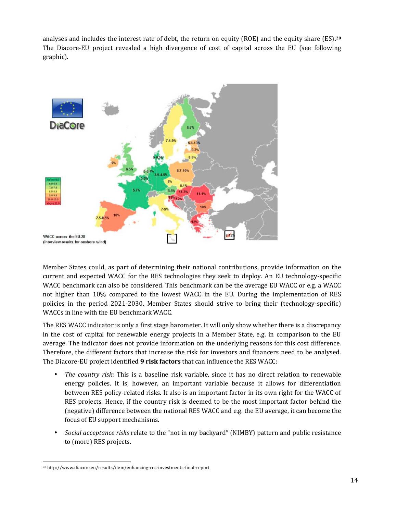analyses and includes the interest rate of debt, the return on equity (ROE) and the equity share (ES).<sup>20</sup> analyses and includes the interest rate of debt, the return on equity (ROE) and the equity share (ES).<sup>20</sup><br>The Diacore-EU project revealed a high divergence of cost of capital across the EU (see following graphic).



Member States could, as part of determining their national contributions, provide information on the current and expected WACC for the RES technologies they seek to deploy. An EU technology WACC benchmark can also be considered. This benchmark can be the average EU WACC or e.g. a WACC not higher than 10% compared to the lowest WACC in the EU. During the implementation of RES policies in the period 2021-2030, Member States should strive to bring their (technology WACCs in line with the EU benchmark WACC. , as part of determining their national contributions, provide information on the<br>I WACC for the RES technologies they seek to deploy. An EU technology-specific<br>1 also be considered. This benchmark can be the average EU WA higher than 10% compared to the lowest WACC in the EU. During the implementation of RES<br>cies in the period 2021-2030, Member States should strive to bring their (technology-specific)<br>CCs in line with the EU benchmark WACC.

The RES WACC indicator is only a first stage barometer. It will only show whether there is a discrepancy in the cost of capital for renewable energy projects in a Member State, e.g. in comparison to the EU in the cost of capital for renewable energy projects in a Member State, e.g. in comparison to the EU<br>average. The indicator does not provide information on the underlying reasons for this cost difference. Therefore, the different factors that increase the risk for investors and financers need to be analysed. The Diacore-EU project identified **9 risk factors 9 risk factors** that can influence the RES WACC: the cost of capital for renewable energy projects in a Member State, e.g. in comparison to the EU erage. The indicator does not provide information on the underlying reasons for this cost difference.<br>erefore, the different

- *The country risk*: This is a baseline risk variable, since it has no direct relation to renewable energy policies. It is, however, an important variable because it allows for differentiation between RES policy-related risks. It also is an important factor in its own right for the WACC of RES projects. Hence, if the country risk is deemed to be the most important factor behind the (negative) difference between the national RES WACC and e.g. the EU average, it can become the focus of EU support mechanisms. related risks. It also is an important factor in its own right for the WACC of jects. Hence, if the country risk is deemed to be the most important factor behind the e) difference between the national RES WACC and e.g. the
- *Social acceptance risks* relate to the to (more) RES projects.

 $\overline{a}$ <sup>20</sup> http://www.diacore.eu/results/item/enhancing-res-investments-final-report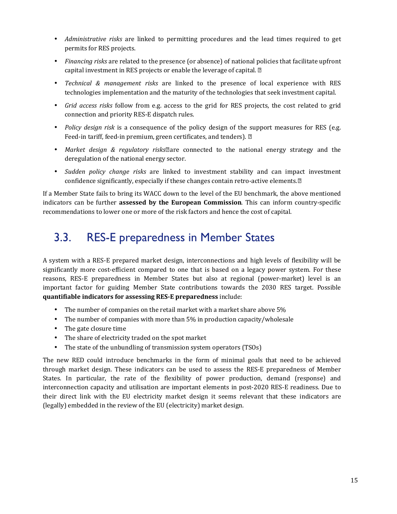- *Administrative risks* are linked to permitting procedures and the lead times required to get permits for RES projects.
- *Financing risks* are related to the presence (or absence) of national policies that facilitate upfront capital investment in RES projects or enable the leverage of capital.
- *Technical & management risks* are linked to the presence of local experience with RES technologies implementation and the maturity of the technologies that seek investment capital.
- *Grid access risks* follow from e.g. access to the grid for RES projects, the cost related to grid connection and priority RES-E dispatch rules.
- *Policy design risk* is a consequence of the policy design of the support measures for RES (e.g. Feed-in tariff, feed-in premium, green certificates, and tenders).  $\mathbb D$
- Market design & regulatory risks<sup>m</sup>are connected to the national energy strategy and the deregulation of the national energy sector.
- *Sudden policy change risks* are linked to investment stability and can impact investment confidence significantly, especially if these changes contain retro-active elements.<sup>[2]</sup>

If a Member State fails to bring its WACC down to the level of the EU benchmark, the above mentioned indicators can be further **assessed by the European Commission**. This can inform country-specific recommendations to lower one or more of the risk factors and hence the cost of capital.

## 3.3. RES-E preparedness in Member States

A system with a RES-E prepared market design, interconnections and high levels of flexibility will be significantly more cost-efficient compared to one that is based on a legacy power system. For these reasons, RES-E preparedness in Member States but also at regional (power-market) level is an important factor for guiding Member State contributions towards the 2030 RES target. Possible **quantifiable indicators for assessing RES-E preparedness** include:

- The number of companies on the retail market with a market share above 5%
- The number of companies with more than 5% in production capacity/wholesale
- The gate closure time
- The share of electricity traded on the spot market
- The state of the unbundling of transmission system operators (TSOs)

The new RED could introduce benchmarks in the form of minimal goals that need to be achieved through market design. These indicators can be used to assess the RES-E preparedness of Member States. In particular, the rate of the flexibility of power production, demand (response) and interconnection capacity and utilisation are important elements in post-2020 RES-E readiness. Due to their direct link with the EU electricity market design it seems relevant that these indicators are (legally) embedded in the review of the EU (electricity) market design.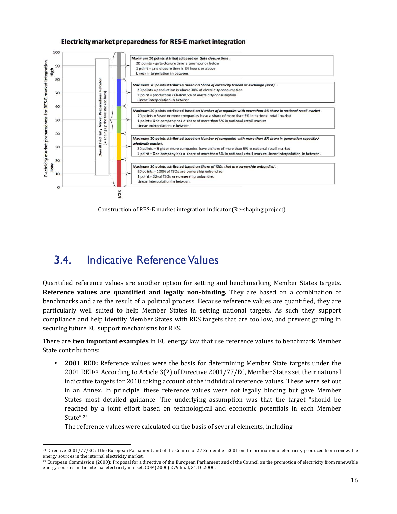#### **Electricity market preparedness for RES-E market integration**



Construction of RES-E market integration indicator (Re-shaping project)

### 3.4. Indicative Reference Values

Quantified reference values are another option for setting and benchmarking Member States targets. **Reference values are quantified and legally non-binding.** They are based on a combination of benchmarks and are the result of a political process. Because reference values are quantified, they are particularly well suited to help Member States in setting national targets. As such they support compliance and help identify Member States with RES targets that are too low, and prevent gaming in securing future EU support mechanisms for RES.

There are **two important examples** in EU energy law that use reference values to benchmark Member State contributions:

• **2001 RED:** Reference values were the basis for determining Member State targets under the 2001 RED<sup>21</sup>. According to Article 3(2) of Directive 2001/77/EC, Member States set their national indicative targets for 2010 taking account of the individual reference values. These were set out in an Annex. In principle, these reference values were not legally binding but gave Member States most detailed guidance. The underlying assumption was that the target "should be reached by a joint effort based on technological and economic potentials in each Member State".<sup>22</sup> Annex. In principle, these reference values were not legally binding but gave most detailed guidance. The underlying assumption was that the target "sled by a joint effort based on technological and economic potentials in

The reference values were calculated on the basis of several elements, including

 $\overline{a}$ <sup>21</sup> Directive 2001/77/EC of the European Parliament and of the Council of 27 September 2001 on the promotion of electricity produced from renewable energy sources in the internal electricity market.

 $^{22}$  European Commission (2000): Proposal for a directive of the European Parliament and of the Council on the promotion of electricity from renewable <sup>21</sup> Directive 2001/77/EC of the European Parliament and of the Council of 27 Septe:<br>energy sources in the internal electricity market.<br><sup>22</sup> European Commission (2000): Proposal for a directive of the European Parliame<br>ene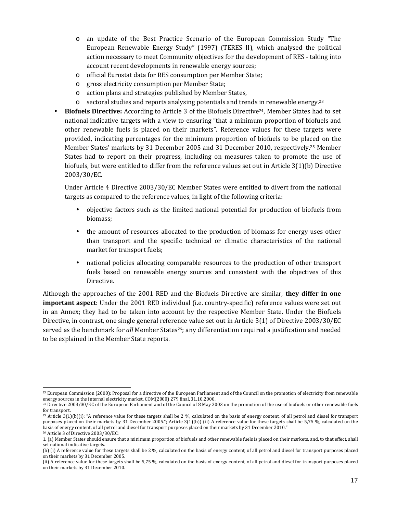- o an update of the Best Practice Scenario of the European Commission Study "The European Renewable Energy Study" (1997) (TERES II), which analysed the political action necessary to meet Community objectives for the development of RES - taking into account recent developments in renewable energy sources;
- o official Eurostat data for RES consumption per Member State;
- o gross electricity consumption per Member State;
- o action plans and strategies published by Member States,
- $\circ$  sectoral studies and reports analysing potentials and trends in renewable energy.<sup>23</sup>
- **Biofuels Directive:** According to Article 3 of the Biofuels Directive24, Member States had to set national indicative targets with a view to ensuring "that a minimum proportion of biofuels and other renewable fuels is placed on their markets". Reference values for these targets were provided, indicating percentages for the minimum proportion of biofuels to be placed on the Member States' markets by 31 December 2005 and 31 December 2010, respectively.25 Member States had to report on their progress, including on measures taken to promote the use of biofuels, but were entitled to differ from the reference values set out in Article 3(1)(b) Directive 2003/30/EC.

Under Article 4 Directive 2003/30/EC Member States were entitled to divert from the national targets as compared to the reference values, in light of the following criteria:

- objective factors such as the limited national potential for production of biofuels from biomass;
- the amount of resources allocated to the production of biomass for energy uses other than transport and the specific technical or climatic characteristics of the national market for transport fuels;
- national policies allocating comparable resources to the production of other transport fuels based on renewable energy sources and consistent with the objectives of this Directive.

Although the approaches of the 2001 RED and the Biofuels Directive are similar, **they differ in one important aspect**: Under the 2001 RED individual (i.e. country-specific) reference values were set out in an Annex; they had to be taken into account by the respective Member State. Under the Biofuels Directive, in contrast, one single general reference value set out in Article 3(1) of Directive 2003/30/EC served as the benchmark for *all* Member States<sup>26</sup>; any differentiation required a justification and needed to be explained in the Member State reports.

 $\overline{a}$ <sup>23</sup> European Commission (2000): Proposal for a directive of the European Parliament and of the Council on the promotion of electricity from renewable energy sources in the internal electricity market, COM(2000) 279 final, 31.10.2000.

<sup>&</sup>lt;sup>24</sup> Directive 2003/30/EC of the European Parliament and of the Council of 8 May 2003 on the promotion of the use of biofuels or other renewable fuels for transport.

<sup>&</sup>lt;sup>25</sup> Article 3(1)(b)(i): "A reference value for these targets shall be 2 %, calculated on the basis of energy content, of all petrol and diesel for transport purposes placed on their markets by 31 December 2005."; Article 3(1)(b)( (ii) A reference value for these targets shall be 5,75 %, calculated on the basis of energy content, of all petrol and diesel for transport purposes placed on their markets by 31 December 2010." <sup>26</sup> Article 3 of Directive 2003/30/EC:

<sup>1. (</sup>a) Member States should ensure that a minimum proportion of biofuels and other renewable fuels is placed on their markets, and, to that effect, shall set national indicative targets.

<sup>(</sup>b) (i) A reference value for these targets shall be 2 %, calculated on the basis of energy content, of all petrol and diesel for transport purposes placed on their markets by 31 December 2005.

<sup>(</sup>ii) A reference value for these targets shall be 5,75 %, calculated on the basis of energy content, of all petrol and diesel for transport purposes placed on their markets by 31 December 2010.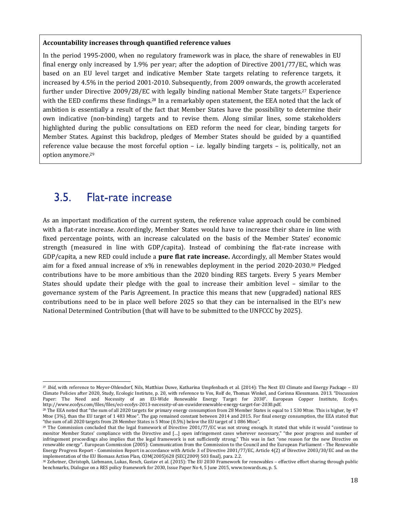#### **Accountability increases through quantified reference values**

In the period 1995-2000, when no regulatory framework was in place, the share of renewables in EU final energy only increased by 1.9% per year; after the adoption of Directive 2001/77/EC, which was based on an EU level target and indicative Member State targets relating to reference targets, it increased by 4.5% in the period 2001-2010. Subsequently, from 2009 onwards, the growth accelerated further under Directive 2009/28/EC with legally binding national Member State targets.27 Experience with the EED confirms these findings.<sup>28</sup> In a remarkably open statement, the EEA noted that the lack of ambition is essentially a result of the fact that Member States have the possibility to determine their own indicative (non-binding) targets and to revise them. Along similar lines, some stakeholders highlighted during the public consultations on EED reform the need for clear, binding targets for Member States. Against this backdrop, pledges of Member States should be guided by a quantified reference value because the most forceful option – i.e. legally binding targets – is, politically, not an option anymore.<sup>29</sup>

#### 3.5. Flat-rate increase

l

As an important modification of the current system, the reference value approach could be combined with a flat-rate increase. Accordingly, Member States would have to increase their share in line with fixed percentage points, with an increase calculated on the basis of the Member States' economic strength (measured in line with GDP/capita). Instead of combining the flat-rate increase with GDP/capita, a new RED could include a **pure flat rate increase.** Accordingly, all Member States would aim for a fixed annual increase of x% in renewables deployment in the period 2020-2030.30 Pledged contributions have to be more ambitious than the 2020 binding RES targets. Every 5 years Member States should update their pledge with the goal to increase their ambition level – similar to the governance system of the Paris Agreement. In practice this means that new (upgraded) national RES contributions need to be in place well before 2025 so that they can be internalised in the EU's new National Determined Contribution (that will have to be submitted to the UNFCCC by 2025).

<sup>27</sup> *Ibid*, with reference to Meyer-Ohlendorf, Nils, Matthias Duwe, Katharina Umpfenbach et al. (2014): The Next EU Climate and Energy Package – EU Climate Policies after 2020, Study, Ecologic Institute, p. 20, with reference to Vos, Rolf de, Thomas Winkel, and Corinna Klessmann. 2013. "Discussion Paper: The Need and Necessity of an EU-Wide Renewable Energy Target for 2030". European Copper Institute, Ecofys. http://www.ecofys.com/files/files/eci-ecofys-2013-necessity-of-an-euwiderenewable-energy-target-for-2030.pdf.

<sup>&</sup>lt;sup>28</sup> The EEA noted that "the sum of all 2020 targets for primary energy consumption from 28 Member States is equal to 1 530 Mtoe. This is higher, by 47 Mtoe (3%), than the EU target of 1 483 Mtoe". The gap remained constant between 2014 and 2015. For final energy consumption, the EEA stated that "the sum of all 2020 targets from 28 Member States is 5 Mtoe (0.5%) below the EU target of 1 086 Mtoe".

<sup>&</sup>lt;sup>29</sup> The Commission concluded that the legal framework of Directive 2001/77/EC was not strong enough. It stated that while it would "continue to monitor Member States' compliance with the Directive and […] open infringement cases wherever necessary," "the poor progress and number of infringement proceedings also implies that the legal framework is not sufficiently strong." This was in fact "one reason for the new Directive on renewable energy". European Commission (2005): Communication from the Commission to the Council and the European Parliament - The Renewable Energy Progress Report - Commission Report in accordance with Article 3 of Directive 2001/77/EC, Article 4(2) of Directive 2003/30/EC and on the implementation of the EU Biomass Action Plan, COM(2005)628 {SEC(2009) 503 final}, para. 2.2.

<sup>30</sup> Zehetner, Christoph, Liebmann, Lukas, Resch, Gustav et al. (2015): The EU 2030 Framework for renewables – effective effort sharing through public benchmarks, Dialogue on a RES policy framework for 2030, Issue Paper No 4, 5 June 2015, www.towards.eu, p. 5.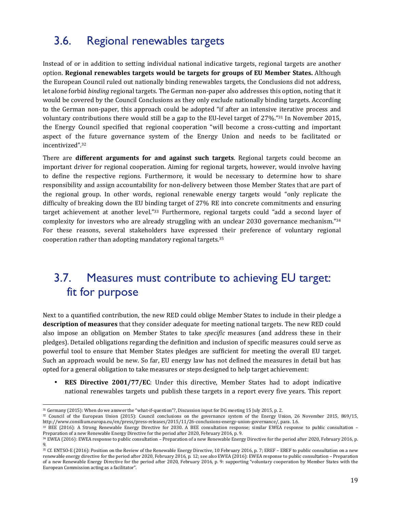# 3.6. Regional renewables targets

Instead of or in addition to setting individual national indicative targets, regional targets are another option. **Regional renewables targets would be targets for groups of EU Member States.** Although the European Council ruled out nationally binding renewables targets, the Conclusions did not address, let alone forbid *binding* regional targets. The German non-paper also addresses this option, noting that it would be covered by the Council Conclusions as they only exclude nationally binding targets. According to the German non-paper, this approach could be adopted "if after an intensive iterative process and voluntary contributions there would still be a gap to the EU-level target of 27%."31 In November 2015, the Energy Council specified that regional cooperation "will become a cross-cutting and important aspect of the future governance system of the Energy Union and needs to be facilitated or incentivized".<sup>32</sup>

There are **different arguments for and against such targets**. Regional targets could become an important driver for regional cooperation. Aiming for regional targets, however, would involve having to define the respective regions. Furthermore, it would be necessary to determine how to share responsibility and assign accountability for non-delivery between those Member States that are part of the regional group. In other words, regional renewable energy targets would "only replicate the difficulty of breaking down the EU binding target of 27% RE into concrete commitments and ensuring target achievement at another level."33 Furthermore, regional targets could "add a second layer of complexity for investors who are already struggling with an unclear 2030 governance mechanism."<sup>34</sup> For these reasons, several stakeholders have expressed their preference of voluntary regional cooperation rather than adopting mandatory regional targets.<sup>35</sup>

### 3.7. Measures must contribute to achieving EU target: fit for purpose

Next to a quantified contribution, the new RED could oblige Member States to include in their pledge a **description of measures** that they consider adequate for meeting national targets. The new RED could also impose an obligation on Member States to take *specific* measures (and address these in their pledges). Detailed obligations regarding the definition and inclusion of specific measures could serve as powerful tool to ensure that Member States pledges are sufficient for meeting the overall EU target. Such an approach would be new. So far, EU energy law has not defined the measures in detail but has opted for a general obligation to take measures or steps designed to help target achievement:

• **RES Directive 2001/77/EC**: Under this directive, Member States had to adopt indicative national renewables targets und publish these targets in a report every five years. This report

<sup>31</sup> Germany (2015): When do we answer the "what-if-question"?, Discussion input for DG meeting 15 July 2015, p. 2.

<sup>32</sup> Council of the European Union (2015): Council conclusions on the governance system of the Energy Union, 26 November 2015, 869/15, http://www.consilium.europa.eu/en/press/press-releases/2015/11/26-conclusions-energy-union-governance/, para. 1.6.

<sup>33</sup> BEE (2016): A Strong Renewable Energy Directive for 2030. A BEE consultation response; similar EWEA response to public consultation – Preparation of a new Renewable Energy Directive for the period after 2020, February 2016, p. 9.

<sup>34</sup> EWEA (2016): EWEA response to public consultation – Preparation of a new Renewable Energy Directive for the period after 2020, February 2016, p. 9.

<sup>35</sup> Cf. ENTSO-E (2016): Position on the Review of the Renewable Energy Directive, 10 February 2016, p. 7; EREF – EREF to public consultation on a new renewable energy directive for the period after 2020, February 2016, p. 12; see also EWEA (2016): EWEA response to public consultation – Preparation of a new Renewable Energy Directive for the period after 2020, February 2016, p. 9: supporting "voluntary cooperation by Member States with the European Commission acting as a facilitator".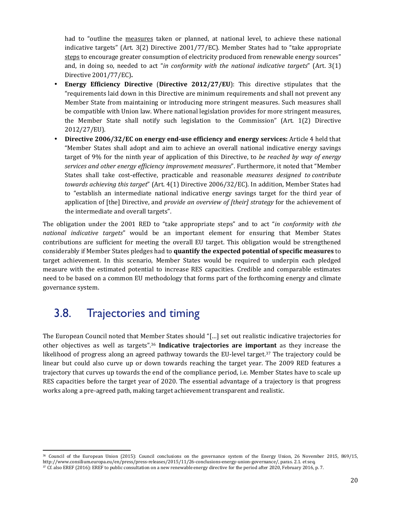had to "outline the measures taken or planned, at national level, to achieve these national indicative targets" (Art. 3(2) Directive 2001/77/EC). Member States had to "take appropriate steps to encourage greater consumption of electricity produced from renewable energy sources" and, in doing so, needed to act "*in conformity with the national indicative targets*" (Art. 3(1) Directive 2001/77/EC)**.**

- **Energy Efficiency Directive** (**Directive 2012/27/EU**): This directive stipulates that the "requirements laid down in this Directive are minimum requirements and shall not prevent any Member State from maintaining or introducing more stringent measures. Such measures shall be compatible with Union law. Where national legislation provides for more stringent measures, the Member State shall notify such legislation to the Commission" (Art. 1(2) Directive 2012/27/EU).
- **Directive 2006/32/EC on energy end-use efficiency and energy services:** Article 4 held that "Member States shall adopt and aim to achieve an overall national indicative energy savings target of 9% for the ninth year of application of this Directive, to *be reached by way of energy services and other energy efficiency improvement measures*". Furthermore, it noted that "Member States shall take cost-effective, practicable and reasonable *measures designed to contribute towards achieving this target*" (Art. 4(1) Directive 2006/32/EC). In addition, Member States had to "establish an intermediate national indicative energy savings target for the third year of application of [the] Directive, and *provide an overview of [their] strategy* for the achievement of the intermediate and overall targets".

The obligation under the 2001 RED to "take appropriate steps" and to act "*in conformity with the national indicative targets*" would be an important element for ensuring that Member States contributions are sufficient for meeting the overall EU target. This obligation would be strengthened considerably if Member States pledges had to **quantify the expected potential of specific measures** to target achievement. In this scenario, Member States would be required to underpin each pledged measure with the estimated potential to increase RES capacities. Credible and comparable estimates need to be based on a common EU methodology that forms part of the forthcoming energy and climate governance system.

#### 3.8. Trajectories and timing

 $\overline{a}$ 

The European Council noted that Member States should "[…] set out realistic indicative trajectories for other objectives as well as targets".<sup>36</sup> **Indicative trajectories are important** as they increase the likelihood of progress along an agreed pathway towards the EU-level target.<sup>37</sup> The trajectory could be linear but could also curve up or down towards reaching the target year. The 2009 RED features a trajectory that curves up towards the end of the compliance period, i.e. Member States have to scale up RES capacities before the target year of 2020. The essential advantage of a trajectory is that progress works along a pre-agreed path, making target achievement transparent and realistic.

<sup>36</sup> Council of the European Union (2015): Council conclusions on the governance system of the Energy Union, 26 November 2015, 869/15, http://www.consilium.europa.eu/en/press/press-releases/2015/11/26-conclusions-energy-union-governance/, paras. 2.1. et seq. 37 Cf. also EREF (2016): EREF to public consultation on a new renewable energy directive for the period after 2020, February 2016, p. 7.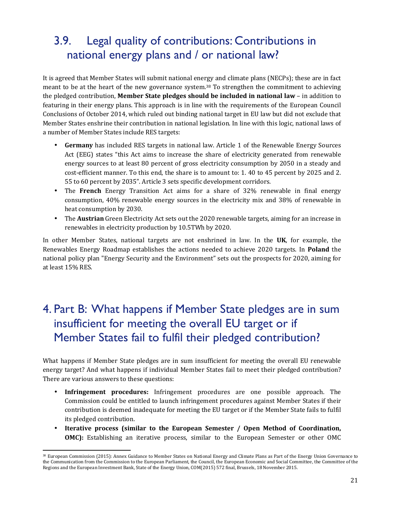## 3.9. Legal quality of contributions: Contributions in national energy plans and / or national law?

It is agreed that Member States will submit national energy and climate plans (NECPs); these are in fact meant to be at the heart of the new governance system.38 To strengthen the commitment to achieving the pledged contribution, **Member State pledges should be included in national law** – in addition to featuring in their energy plans. This approach is in line with the requirements of the European Council Conclusions of October 2014, which ruled out binding national target in EU law but did not exclude that Member States enshrine their contribution in national legislation. In line with this logic, national laws of a number of Member States include RES targets:

- **Germany** has included RES targets in national law. Article 1 of the Renewable Energy Sources Act (EEG) states "this Act aims to increase the share of electricity generated from renewable energy sources to at least 80 percent of gross electricity consumption by 2050 in a steady and cost-efficient manner. To this end, the share is to amount to: 1. 40 to 45 percent by 2025 and 2. 55 to 60 percent by 2035". Article 3 sets specific development corridors.
- The **French** Energy Transition Act aims for a share of 32% renewable in final energy consumption, 40% renewable energy sources in the electricity mix and 38% of renewable in heat consumption by 2030.
- The **Austrian** Green Electricity Act sets out the 2020 renewable targets, aiming for an increase in renewables in electricity production by 10.5TWh by 2020.

In other Member States, national targets are not enshrined in law. In the **UK**, for example, the Renewables Energy Roadmap establishes the actions needed to achieve 2020 targets. In **Poland** the national policy plan "Energy Security and the Environment" sets out the prospects for 2020, aiming for at least 15% RES.

### 4. Part B: What happens if Member State pledges are in sum insufficient for meeting the overall EU target or if Member States fail to fulfil their pledged contribution?

What happens if Member State pledges are in sum insufficient for meeting the overall EU renewable energy target? And what happens if individual Member States fail to meet their pledged contribution? There are various answers to these questions:

- **Infringement procedures:** Infringement procedures are one possible approach. The Commission could be entitled to launch infringement procedures against Member States if their contribution is deemed inadequate for meeting the EU target or if the Member State fails to fulfil its pledged contribution.
- **Iterative process (similar to the European Semester / Open Method of Coordination, OMC):** Establishing an iterative process, similar to the European Semester or other OMC

<sup>&</sup>lt;sup>38</sup> European Commission (2015): Annex Guidance to Member States on National Energy and Climate Plans as Part of the Energy Union Governance to the Communication from the Commission to the European Parliament, the Council, the European Economic and Social Committee, the Committee of the Regions and the European Investment Bank, State of the Energy Union, COM(2015) 572 final, Brussels, 18 November 2015.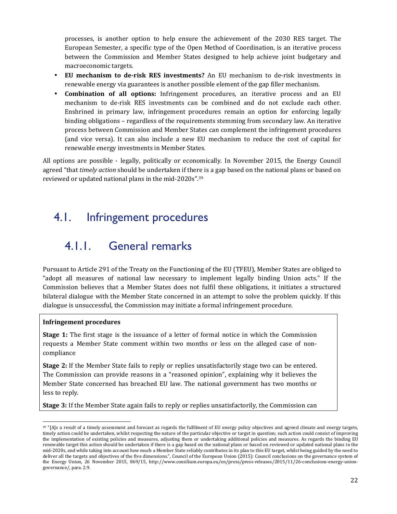processes, is another option to help ensure the achievement of the 2030 RES target. The European Semester, a specific type of the Open Method of Coordination, is an iterative process between the Commission and Member States designed to help achieve joint budgetary and macroeconomic targets.

- **EU mechanism to de-risk RES investments?** An EU mechanism to de-risk investments in renewable energy via guarantees is another possible element of the gap filler mechanism.
- **Combination of all options:** Infringement procedures, an iterative process and an EU mechanism to de-risk RES investments can be combined and do not exclude each other. Enshrined in primary law, infringement procedures remain an option for enforcing legally binding obligations – regardless of the requirements stemming from secondary law. An iterative process between Commission and Member States can complement the infringement procedures (and vice versa). It can also include a new EU mechanism to reduce the cost of capital for renewable energy investments in Member States.

All options are possible - legally, politically or economically. In November 2015, the Energy Council agreed "that *timely action* should be undertaken if there is a gap based on the national plans or based on reviewed or updated national plans in the mid-2020s".<sup>39</sup>

### 4.1. Infringement procedures

### 4.1.1. General remarks

Pursuant to Article 291 of the Treaty on the Functioning of the EU (TFEU), Member States are obliged to "adopt all measures of national law necessary to implement legally binding Union acts." If the Commission believes that a Member States does not fulfil these obligations, it initiates a structured bilateral dialogue with the Member State concerned in an attempt to solve the problem quickly. If this dialogue is unsuccessful, the Commission may initiate a formal infringement procedure.

#### **Infringement procedures**

 $\overline{a}$ 

**Stage 1:** The first stage is the issuance of a letter of formal notice in which the Commission requests a Member State comment within two months or less on the alleged case of noncompliance

**Stage 2:** If the Member State fails to reply or replies unsatisfactorily stage two can be entered. The Commission can provide reasons in a "reasoned opinion", explaining why it believes the Member State concerned has breached EU law. The national government has two months or less to reply.

**Stage 3:** If the Member State again fails to reply or replies unsatisfactorily, the Commission can

 $39$  "[A]s a result of a timely assessment and forecast as regards the fulfilment of EU energy policy objectives and agreed climate and energy targets, timely action could be undertaken, whilst respecting the nature of the particular objective or target in question; such action could consist of improving the implementation of existing policies and measures, adjusting them or undertaking additional policies and measures. As regards the binding EU renewable target this action should be undertaken if there is a gap based on the national plans or based on reviewed or updated national plans in the mid-2020s, and while taking into account how much a Member State reliably contributes in its plan to this EU target, whilst being guided by the need to deliver all the targets and objectives of the five dimensions.", Council of the European Union (2015): Council conclusions on the governance system of the Energy Union, 26 November 2015, 869/15, http://www.consilium.europa.eu/en/press/press-releases/2015/11/26-conclusions-energy-uniongovernance/, para. 2.9.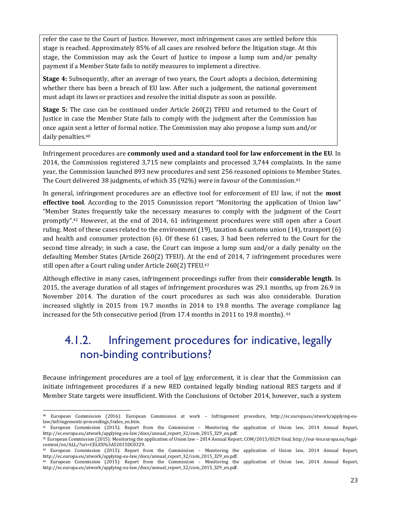refer the case to the Court of Justice. However, most infringement cases are settled before this stage is reached. Approximately 85% of all cases are resolved before the litigation stage. At this stage, the Commission may ask the Court of Justice to impose a lump sum and/or penalty payment if a Member State fails to notify measures to implement a directive.

**Stage 4:** Subsequently, after an average of two years, the Court adopts a decision, determining whether there has been a breach of EU law. After such a judgement, the national government must adapt its laws or practices and resolve the initial dispute as soon as possible.

**Stage 5:** The case can be continued under Article 260(2) TFEU and returned to the Court of Justice in case the Member State fails to comply with the judgment after the Commission has once again sent a letter of formal notice. The Commission may also propose a lump sum and/or daily penalties.<sup>40</sup>

Infringement procedures are **commonly used and a standard tool for law enforcement in the EU**. In 2014, the Commission registered 3,715 new complaints and processed 3,744 complaints. In the same year, the Commission launched 893 new procedures and sent 256 reasoned opinions to Member States. The Court delivered 38 judgments, of which 35 (92%) were in favour of the Commission.<sup>41</sup>

In general, infringement procedures are an effective tool for enforcement of EU law, if not the **most effective tool**. According to the 2015 Commission report "Monitoring the application of Union law" "Member States frequently take the necessary measures to comply with the judgment of the Court promptly".42 However, at the end of 2014, 61 infringement procedures were still open after a Court ruling. Most of these cases related to the environment (19), taxation & customs union (14), transport (6) and health and consumer protection (6). Of these 61 cases, 3 had been referred to the Court for the second time already; in such a case, the Court can impose a lump sum and/or a daily penalty on the defaulting Member States (Article 260(2) TFEU). At the end of 2014, 7 infringement procedures were still open after a Court ruling under Article 260(2) TFEU.<sup>43</sup>

Although effective in many cases, infringement proceedings suffer from their **considerable length**. In 2015, the average duration of all stages of infringement procedures was 29.1 months, up from 26.9 in November 2014. The duration of the court procedures as such was also considerable. Duration increased slightly in 2015 from 19.7 months in 2014 to 19.8 months. The average compliance lag increased for the 5th consecutive period (from 17.4 months in 2011 to 19.8 months).<sup>44</sup>

### 4.1.2. Infringement procedures for indicative, legally non-binding contributions?

Because infringement procedures are a tool of <u>law</u> enforcement, it is clear that the Commission can initiate infringement procedures if a new RED contained legally binding national RES targets and if Member State targets were insufficient. With the Conclusions of October 2014, however, such a system

l

<sup>40</sup> European Commission (2016): European Commission at work – Infringement procedure, http://ec.europa.eu/atwork/applying-eulaw/infringements-proceedings/index\_en.htm.

<sup>41</sup> European Commission (2015): Report from the Commission – Monitoring the application of Union law, 2014 Annual Report, http://ec.europa.eu/atwork/applying-eu-law/docs/annual\_report\_32/com\_2015\_329\_en.pdf.

<sup>42</sup> European Commission (2015): Monitoring the application of Union law – 2014 Annual Report, COM/2015/0329 final, http://eur-lex.europa.eu/legalcontent/en/ALL/?uri=CELEX%3A52015DC0329.

<sup>43</sup> European Commission (2015): Report from the Commission – Monitoring the application of Union law, 2014 Annual Report, http://ec.europa.eu/atwork/applying-eu-law/docs/annual\_report\_32/com\_2015\_329\_en.pdf.

<sup>44</sup> European Commission (2015): Report from the Commission – Monitoring the application of Union law, 2014 Annual Report, http://ec.europa.eu/atwork/applying-eu-law/docs/annual\_report\_32/com\_2015\_329\_en.pdf.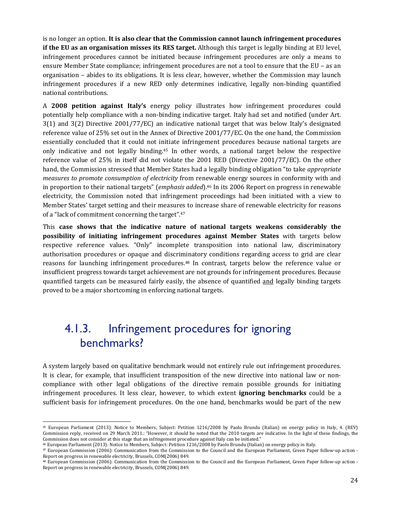is no longer an option. **It is also clear that the Commission cannot launch infringement procedures if the EU as an organisation misses its RES target.** Although this target is legally binding at EU level, infringement procedures cannot be initiated because infringement procedures are only a means to ensure Member State compliance; infringement procedures are not a tool to ensure that the EU – as an organisation – abides to its obligations. It is less clear, however, whether the Commission may launch infringement procedures if a new RED only determines indicative, legally non-binding quantified national contributions.

A **2008 petition against Italy's** energy policy illustrates how infringement procedures could potentially help compliance with a non-binding indicative target. Italy had set and notified (under Art. 3(1) and 3(2) Directive 2001/77/EC) an indicative national target that was below Italy's designated reference value of 25% set out in the Annex of Directive 2001/77/EC. On the one hand, the Commission essentially concluded that it could not initiate infringement procedures because national targets are only indicative and not legally binding.45 In other words, a national target below the respective reference value of 25% in itself did not violate the 2001 RED (Directive 2001/77/EC). On the other hand, the Commission stressed that Member States had a legally binding obligation "to take *appropriate measures to promote consumption of electricity* from renewable energy sources in conformity with and in proportion to their national targets" (*emphasis added*).46 In its 2006 Report on progress in renewable electricity, the Commission noted that infringement proceedings had been initiated with a view to Member States' target setting and their measures to increase share of renewable electricity for reasons of a "lack of commitment concerning the target".<sup>47</sup>

This **case shows that the indicative nature of national targets weakens considerably the possibility of initiating infringement procedures against Member States** with targets below respective reference values. "Only" incomplete transposition into national law, discriminatory authorisation procedures or opaque and discriminatory conditions regarding access to grid are clear reasons for launching infringement procedures.48 In contrast, targets below the reference value or insufficient progress towards target achievement are not grounds for infringement procedures. Because quantified targets can be measured fairly easily, the absence of quantified and legally binding targets proved to be a major shortcoming in enforcing national targets.

### 4.1.3. Infringement procedures for ignoring benchmarks?

A system largely based on qualitative benchmark would not entirely rule out infringement procedures. It is clear, for example, that insufficient transposition of the new directive into national law or noncompliance with other legal obligations of the directive remain possible grounds for initiating infringement procedures. It less clear, however, to which extent **ignoring benchmarks** could be a sufficient basis for infringement procedures. On the one hand, benchmarks would be part of the new

<sup>45</sup> European Parliament (2013): Notice to Members, Subject: Petition 1216/2008 by Paolo Brundu (Italian) on energy policy in Italy, 4. (REV) Commission reply, received on 29 March 2011.: "However, it should be noted that the 2010 targets are indicative. In the light of these findings, the Commission does not consider at this stage that an infringement procedure against Italy can be initiated."

<sup>46</sup> European Parliament (2013): Notice to Members, Subject: Petition 1216/2008 by Paolo Brundu (Italian) on energy policy in Italy.

<sup>47</sup> European Commission (2006): Communication from the Commission to the Council and the European Parliament, Green Paper follow-up action - Report on progress in renewable electricity, Brussels, COM(2006) 849.

<sup>48</sup> European Commission (2006): Communication from the Commission to the Council and the European Parliament, Green Paper follow-up action - Report on progress in renewable electricity, Brussels, COM(2006) 849.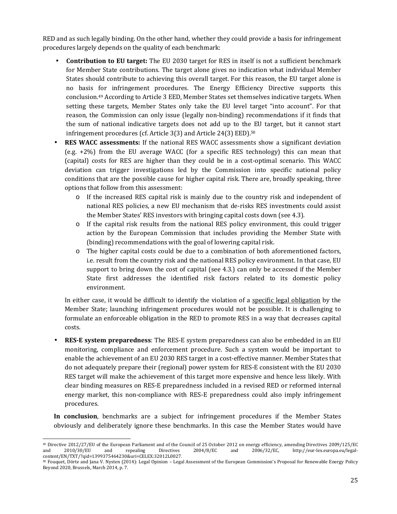RED and as such legally binding. On the other hand, whether they could provide a basis for infringement procedures largely depends on the quality of each benchmark:

- **Contribution to EU target:** The EU 2030 target for RES in itself is not a sufficient benchmark for Member State contributions. The target alone gives no indication what individual Member States should contribute to achieving this overall target. For this reason, the EU target alone is no basis for infringement procedures. The Energy Efficiency Directive supports this conclusion.49 According to Article 3 EED, Member States set themselves indicative targets. When setting these targets, Member States only take the EU level target "into account". For that reason, the Commission can only issue (legally non-binding) recommendations if it finds that the sum of national indicative targets does not add up to the EU target, but it cannot start infringement procedures (cf. Article 3(3) and Article 24(3) EED).<sup>50</sup>
- **RES WACC assessments:** If the national RES WACC assessments show a significant deviation (e.g. +2%) from the EU average WACC (for a specific RES technology) this can mean that (capital) costs for RES are higher than they could be in a cost-optimal scenario. This WACC deviation can trigger investigations led by the Commission into specific national policy conditions that are the possible cause for higher capital risk. There are, broadly speaking, three options that follow from this assessment:
	- o If the increased RES capital risk is mainly due to the country risk and independent of national RES policies, a new EU mechanism that de-risks RES investments could assist the Member States' RES investors with bringing capital costs down (see 4.3).
	- o If the capital risk results from the national RES policy environment, this could trigger action by the European Commission that includes providing the Member State with (binding) recommendations with the goal of lowering capital risk.
	- o The higher capital costs could be due to a combination of both aforementioned factors, i.e. result from the country risk and the national RES policy environment. In that case, EU support to bring down the cost of capital (see 4.3.) can only be accessed if the Member State first addresses the identified risk factors related to its domestic policy environment.

In either case, it would be difficult to identify the violation of a specific legal obligation by the Member State; launching infringement procedures would not be possible. It is challenging to formulate an enforceable obligation in the RED to promote RES in a way that decreases capital costs.

• **RES-E system preparedness**: The RES-E system preparedness can also be embedded in an EU monitoring, compliance and enforcement procedure. Such a system would be important to enable the achievement of an EU 2030 RES target in a cost-effective manner. Member States that do not adequately prepare their (regional) power system for RES-E consistent with the EU 2030 RES target will make the achievement of this target more expensive and hence less likely. With clear binding measures on RES-E preparedness included in a revised RED or reformed internal energy market, this non-compliance with RES-E preparedness could also imply infringement procedures.

**In conclusion**, benchmarks are a subject for infringement procedures if the Member States obviously and deliberately ignore these benchmarks. In this case the Member States would have

 $\overline{a}$ 49 Directive 2012/27/EU of the European Parliament and of the Council of 25 October 2012 on energy efficiency, amending Directives 2009/125/EC and 2006/32/EC, http://eur-lex.europa.eu/legal-<br>2004/8/EC and 2006/32/EC, http: and 2010/30/EU and repealing Directives 2004/8/EC and 2006/32/EC, http://eur-lex.europa.eu/legalcontent/EN/TXT/?qid=1399375464230&uri=CELEX:32012L0027.

<sup>50</sup> Fouquet, Dörte and Jana V. Nysten (2014): Legal Opinion – Legal Assessment of the European Commission's Proposal for Renewable Energy Policy Beyond 2020, Brussels, March 2014, p. 7.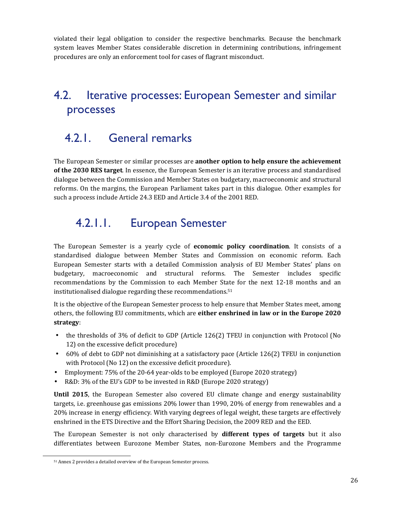violated their legal obligation to consider the respective benchmarks. Because the benchmark system leaves Member States considerable discretion in determining contributions, infringement procedures are only an enforcement tool for cases of flagrant misconduct.

### 4.2. Iterative processes: European Semester and similar processes

### 4.2.1. General remarks

The European Semester or similar processes are **another option to help ensure the achievement of the 2030 RES target**. In essence, the European Semester is an iterative process and standardised dialogue between the Commission and Member States on budgetary, macroeconomic and structural reforms. On the margins, the European Parliament takes part in this dialogue. Other examples for such a process include Article 24.3 EED and Article 3.4 of the 2001 RED.

### 4.2.1.1. European Semester

The European Semester is a yearly cycle of **economic policy coordination**. It consists of a standardised dialogue between Member States and Commission on economic reform. Each European Semester starts with a detailed Commission analysis of EU Member States' plans on budgetary, macroeconomic and structural reforms. The Semester includes specific recommendations by the Commission to each Member State for the next 12-18 months and an institutionalised dialogue regarding these recommendations.<sup>51</sup>

It is the objective of the European Semester process to help ensure that Member States meet, among others, the following EU commitments, which are **either enshrined in law or in the Europe 2020 strategy**:

- the thresholds of 3% of deficit to GDP (Article 126(2) TFEU in conjunction with Protocol (No 12) on the excessive deficit procedure)
- 60% of debt to GDP not diminishing at a satisfactory pace (Article 126(2) TFEU in conjunction with Protocol (No 12) on the excessive deficit procedure).
- Employment: 75% of the 20-64 year-olds to be employed (Europe 2020 strategy)
- R&D: 3% of the EU's GDP to be invested in R&D (Europe 2020 strategy)

**Until 2015**, the European Semester also covered EU climate change and energy sustainability targets, i.e. greenhouse gas emissions 20% lower than 1990, 20% of energy from renewables and a 20% increase in energy efficiency. With varying degrees of legal weight, these targets are effectively enshrined in the ETS Directive and the Effort Sharing Decision, the 2009 RED and the EED.

The European Semester is not only characterised by **different types of targets** but it also differentiates between Eurozone Member States, non-Eurozone Members and the Programme

<sup>51</sup> Annex 2 provides a detailed overview of the European Semester process.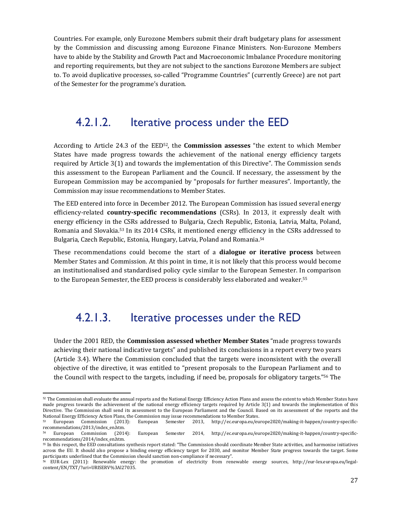Countries. For example, only Eurozone Members submit their draft budgetary plans for assessment by the Commission and discussing among Eurozone Finance Ministers. Non-Eurozone Members have to abide by the Stability and Growth Pact and Macroeconomic Imbalance Procedure monitoring and reporting requirements, but they are not subject to the sanctions Eurozone Members are subject to. To avoid duplicative processes, so-called "Programme Countries" (currently Greece) are not part of the Semester for the programme's duration.

#### 4.2.1.2. Iterative process under the EED

According to Article 24.3 of the EED52, the **Commission assesses** "the extent to which Member States have made progress towards the achievement of the national energy efficiency targets required by Article 3(1) and towards the implementation of this Directive". The Commission sends this assessment to the European Parliament and the Council. If necessary, the assessment by the European Commission may be accompanied by "proposals for further measures". Importantly, the Commission may issue recommendations to Member States.

The EED entered into force in December 2012. The European Commission has issued several energy efficiency-related **country-specific recommendations** (CSRs). In 2013, it expressly dealt with energy efficiency in the CSRs addressed to Bulgaria, Czech Republic, Estonia, Latvia, Malta, Poland, Romania and Slovakia.53 In its 2014 CSRs, it mentioned energy efficiency in the CSRs addressed to Bulgaria, Czech Republic, Estonia, Hungary, Latvia, Poland and Romania.<sup>54</sup>

These recommendations could become the start of a **dialogue or iterative process** between Member States and Commission. At this point in time, it is not likely that this process would become an institutionalised and standardised policy cycle similar to the European Semester. In comparison to the European Semester, the EED process is considerably less elaborated and weaker.<sup>55</sup>

#### 4.2.1.3. Iterative processes under the RED

Under the 2001 RED, the **Commission assessed whether Member States** "made progress towards achieving their national indicative targets" and published its conclusions in a report every two years (Article 3.4). Where the Commission concluded that the targets were inconsistent with the overall objective of the directive, it was entitled to "present proposals to the European Parliament and to the Council with respect to the targets, including, if need be, proposals for obligatory targets."56 The

l

<sup>52</sup> The Commission shall evaluate the annual reports and the National Energy Efficiency Action Plans and assess the extent to which Member States have made progress towards the achievement of the national energy efficiency targets required by Article 3(1) and towards the implementation of this Directive. The Commission shall send its assessment to the European Parliament and the Council. Based on its assessment of the reports and the National Energy Efficiency Action Plans, the Commission may issue recommendations to Member States.<br>
53 European Commission (2013): European Semester 2013, http://ec.europa.eu/eu

<sup>53</sup> European Commission (2013): European Semester 2013, http://ec.europa.eu/europe2020/making-it-happen/country-specificrecommendations/2013/index\_en.htm.

<sup>54</sup> European Commission (2014): European Semester 2014, http://ec.europa.eu/europe2020/making-it-happen/country-specificrecommendations/2014/index\_en.htm.

<sup>55</sup> In this respect, the EED consultations synthesis report stated: "The Commission should coordinate Member State activities, and harmonise initiatives across the EU. It should also propose a binding energy efficiency target for 2030, and monitor Member State progress towards the target. Some participants underlined that the Commission should sanction non-compliance if necessary".

<sup>56</sup> EUR-Lex (2011): Renewable energy: the promotion of electricity from renewable energy sources, http://eur-lex.europa.eu/legalcontent/EN/TXT/?uri=URISERV%3Al27035.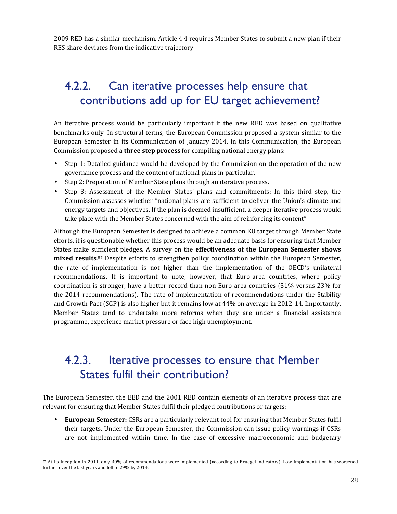2009 RED has a similar mechanism. Article 4.4 requires Member States to submit a new plan if their RES share deviates from the indicative trajectory.

### 4.2.2. Can iterative processes help ensure that contributions add up for EU target achievement?

An iterative process would be particularly important if the new RED was based on qualitative benchmarks only. In structural terms, the European Commission proposed a system similar to the European Semester in its Communication of January 2014. In this Communication, the European Commission proposed a **three step process** for compiling national energy plans:

- Step 1: Detailed guidance would be developed by the Commission on the operation of the new governance process and the content of national plans in particular.
- Step 2: Preparation of Member State plans through an iterative process.
- Step 3: Assessment of the Member States' plans and commitments: In this third step, the Commission assesses whether "national plans are sufficient to deliver the Union's climate and energy targets and objectives. If the plan is deemed insufficient, a deeper iterative process would take place with the Member States concerned with the aim of reinforcing its content".

Although the European Semester is designed to achieve a common EU target through Member State efforts, it is questionable whether this process would be an adequate basis for ensuring that Member States make sufficient pledges. A survey on the **effectiveness of the European Semester shows mixed results**. <sup>57</sup> Despite efforts to strengthen policy coordination within the European Semester, the rate of implementation is not higher than the implementation of the OECD's unilateral recommendations. It is important to note, however, that Euro-area countries, where policy coordination is stronger, have a better record than non-Euro area countries (31% versus 23% for the 2014 recommendations). The rate of implementation of recommendations under the Stability and Growth Pact (SGP) is also higher but it remains low at 44% on average in 2012-14. Importantly, Member States tend to undertake more reforms when they are under a financial assistance programme, experience market pressure or face high unemployment.

### 4.2.3. Iterative processes to ensure that Member States fulfil their contribution?

The European Semester, the EED and the 2001 RED contain elements of an iterative process that are relevant for ensuring that Member States fulfil their pledged contributions or targets:

• **European Semester:** CSRs are a particularly relevant tool for ensuring that Member States fulfil their targets. Under the European Semester, the Commission can issue policy warnings if CSRs are not implemented within time. In the case of excessive macroeconomic and budgetary

 $\overline{a}$ <sup>57</sup> At its inception in 2011, only 40% of recommendations were implemented (according to Bruegel indicators). Low implementation has worsened further over the last years and fell to 29% by 2014.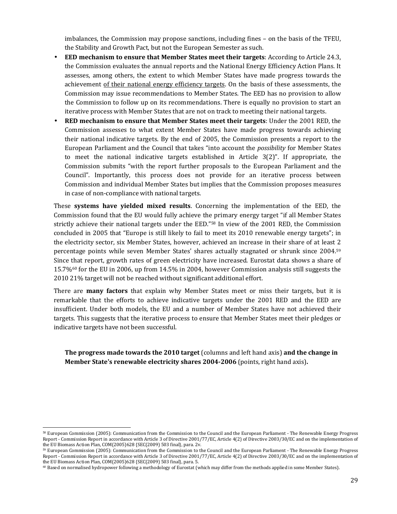imbalances, the Commission may propose sanctions, including fines – on the basis of the TFEU, the Stability and Growth Pact, but not the European Semester as such.

- **EED mechanism to ensure that Member States meet their targets**: According to Article 24.3, the Commission evaluates the annual reports and the National Energy Efficiency Action Plans. It assesses, among others, the extent to which Member States have made progress towards the achievement of their national energy efficiency targets. On the basis of these assessments, the Commission may issue recommendations to Member States. The EED has no provision to allow the Commission to follow up on its recommendations. There is equally no provision to start an iterative process with Member States that are not on track to meeting their national targets.
- **RED mechanism to ensure that Member States meet their targets**: Under the 2001 RED, the Commission assesses to what extent Member States have made progress towards achieving their national indicative targets. By the end of 2005, the Commission presents a report to the European Parliament and the Council that takes "into account the *possibility* for Member States to meet the national indicative targets established in Article 3(2)". If appropriate, the Commission submits "with the report further proposals to the European Parliament and the Council". Importantly, this process does not provide for an iterative process between Commission and individual Member States but implies that the Commission proposes measures in case of non-compliance with national targets.

These **systems have yielded mixed results**. Concerning the implementation of the EED, the Commission found that the EU would fully achieve the primary energy target "if all Member States strictly achieve their national targets under the EED."58 In view of the 2001 RED, the Commission concluded in 2005 that "Europe is still likely to fail to meet its 2010 renewable energy targets"; in the electricity sector, six Member States, however, achieved an increase in their share of at least 2 percentage points while seven Member States' shares actually stagnated or shrunk since 2004.<sup>59</sup> Since that report, growth rates of green electricity have increased. Eurostat data shows a share of 15.7%60 for the EU in 2006, up from 14.5% in 2004, however Commission analysis still suggests the 2010 21% target will not be reached without significant additional effort.

There are **many factors** that explain why Member States meet or miss their targets, but it is remarkable that the efforts to achieve indicative targets under the 2001 RED and the EED are insufficient. Under both models, the EU and a number of Member States have not achieved their targets. This suggests that the iterative process to ensure that Member States meet their pledges or indicative targets have not been successful.

**The progress made towards the 2010 target** (columns and left hand axis) **and the change in Member State's renewable electricity shares 2004-2006** (points, right hand axis)**.** 

<sup>58</sup> European Commission (2005): Communication from the Commission to the Council and the European Parliament - The Renewable Energy Progress Report - Commission Report in accordance with Article 3 of Directive 2001/77/EC, Article 4(2) of Directive 2003/30/EC and on the implementation of the EU Biomass Action Plan, COM(2005)628 {SEC(2009) 503 final}, para. 2v.

<sup>59</sup> European Commission (2005): Communication from the Commission to the Council and the European Parliament - The Renewable Energy Progress Report - Commission Report in accordance with Article 3 of Directive 2001/77/EC, Article 4(2) of Directive 2003/30/EC and on the implementation of the EU Biomass Action Plan, COM(2005)628 {SEC(2009) 503 final}, para. 5.

<sup>60</sup> Based on normalised hydropower following a methodology of Eurostat (which may differ from the methods applied in some Member States).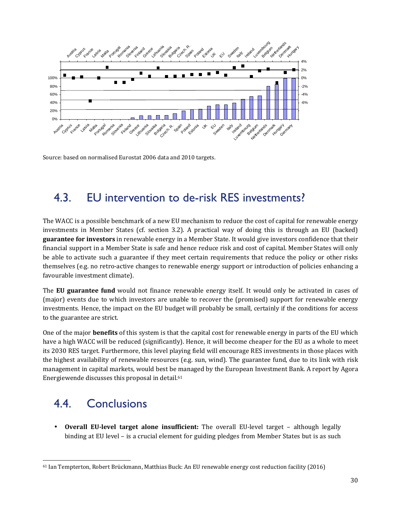

Source: based on normalised Eurostat 2006 data and 2010 targets.

### 4.3. EU intervention to de-risk RES investments?

The WACC is a possible benchmark of a new EU mechanism to reduce the cost of capital for renewable energy investments in Member States (cf. section 3.2). A practical way of doing this is through an EU (backed) **guarantee for investors** in renewable energy in a Member State. It would give investors confidence that their financial support in a Member State is safe and hence reduce risk and cost of capital. Member States will only be able to activate such a guarantee if they meet certain requirements that reduce the policy or other risks themselves (e.g. no retro-active changes to renewable energy support or introduction of policies enhancing a favourable investment climate).

The **EU guarantee fund** would not finance renewable energy itself. It would only be activated in cases of (major) events due to which investors are unable to recover the (promised) support for renewable energy investments. Hence, the impact on the EU budget will probably be small, certainly if the conditions for access to the guarantee are strict.

One of the major **benefits** of this system is that the capital cost for renewable energy in parts of the EU which have a high WACC will be reduced (significantly). Hence, it will become cheaper for the EU as a whole to meet its 2030 RES target. Furthermore, this level playing field will encourage RES investments in those places with the highest availability of renewable resources (e.g. sun, wind). The guarantee fund, due to its link with risk management in capital markets, would best be managed by the European Investment Bank. A report by Agora Energiewende discusses this proposal in detail.<sup>61</sup>

# 4.4. Conclusions

 $\overline{a}$ 

• **Overall EU-level target alone insufficient:** The overall EU-level target – although legally binding at EU level – is a crucial element for guiding pledges from Member States but is as such

<sup>61</sup> Ian Tempterton, Robert Brückmann, Matthias Buck: An EU renewable energy cost reduction facility (2016)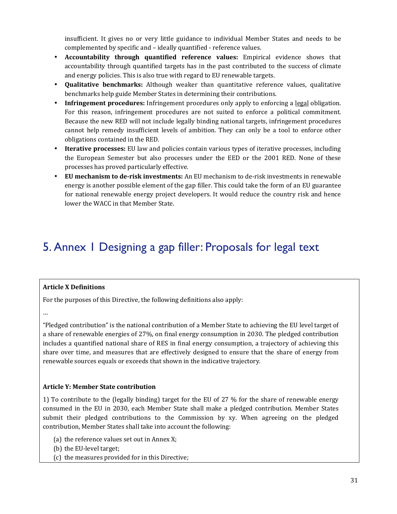insufficient. It gives no or very little guidance to individual Member States and needs to be complemented by specific and – ideally quantified - reference values.

- **Accountability through quantified reference values:** Empirical evidence shows that accountability through quantified targets has in the past contributed to the success of climate and energy policies. This is also true with regard to EU renewable targets.
- **Qualitative benchmarks:** Although weaker than quantitative reference values, qualitative benchmarks help guide Member States in determining their contributions.
- **Infringement procedures:** Infringement procedures only apply to enforcing a legal obligation. For this reason, infringement procedures are not suited to enforce a political commitment. Because the new RED will not include legally binding national targets, infringement procedures cannot help remedy insufficient levels of ambition. They can only be a tool to enforce other obligations contained in the RED.
- **Iterative processes:** EU law and policies contain various types of iterative processes, including the European Semester but also processes under the EED or the 2001 RED. None of these processes has proved particularly effective.
- **EU mechanism to de-risk investments:** An EU mechanism to de-risk investments in renewable energy is another possible element of the gap filler. This could take the form of an EU guarantee for national renewable energy project developers. It would reduce the country risk and hence lower the WACC in that Member State.

## 5. Annex 1 Designing a gap filler: Proposals for legal text

#### **Article X Definitions**

For the purposes of this Directive, the following definitions also apply:

…

"Pledged contribution" is the national contribution of a Member State to achieving the EU level target of a share of renewable energies of 27%, on final energy consumption in 2030. The pledged contribution includes a quantified national share of RES in final energy consumption, a trajectory of achieving this share over time, and measures that are effectively designed to ensure that the share of energy from renewable sources equals or exceeds that shown in the indicative trajectory.

#### **Article Y: Member State contribution**

1) To contribute to the (legally binding) target for the EU of 27 % for the share of renewable energy consumed in the EU in 2030, each Member State shall make a pledged contribution. Member States submit their pledged contributions to the Commission by xy. When agreeing on the pledged contribution, Member States shall take into account the following:

- (a) the reference values set out in Annex X;
- (b) the EU-level target;
- (c) the measures provided for in this Directive;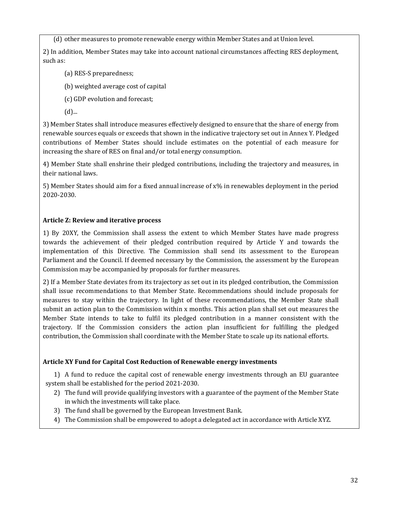(d) other measures to promote renewable energy within Member States and at Union level.

2) In addition, Member States may take into account national circumstances affecting RES deployment, such as:

(a) RES-S preparedness;

(b) weighted average cost of capital

(c) GDP evolution and forecast;

(d)...

3) Member States shall introduce measures effectively designed to ensure that the share of energy from renewable sources equals or exceeds that shown in the indicative trajectory set out in Annex Y. Pledged contributions of Member States should include estimates on the potential of each measure for increasing the share of RES on final and/or total energy consumption.

4) Member State shall enshrine their pledged contributions, including the trajectory and measures, in their national laws.

5) Member States should aim for a fixed annual increase of x% in renewables deployment in the period 2020-2030.

#### **Article Z: Review and iterative process**

1) By 20XY, the Commission shall assess the extent to which Member States have made progress towards the achievement of their pledged contribution required by Article Y and towards the implementation of this Directive. The Commission shall send its assessment to the European Parliament and the Council. If deemed necessary by the Commission, the assessment by the European Commission may be accompanied by proposals for further measures.

2) If a Member State deviates from its trajectory as set out in its pledged contribution, the Commission shall issue recommendations to that Member State. Recommendations should include proposals for measures to stay within the trajectory. In light of these recommendations, the Member State shall submit an action plan to the Commission within x months. This action plan shall set out measures the Member State intends to take to fulfil its pledged contribution in a manner consistent with the trajectory. If the Commission considers the action plan insufficient for fulfilling the pledged contribution, the Commission shall coordinate with the Member State to scale up its national efforts.

#### **Article XY Fund for Capital Cost Reduction of Renewable energy investments**

1) A fund to reduce the capital cost of renewable energy investments through an EU guarantee system shall be established for the period 2021-2030.

- 2) The fund will provide qualifying investors with a guarantee of the payment of the Member State in which the investments will take place.
- 3) The fund shall be governed by the European Investment Bank.
- 4) The Commission shall be empowered to adopt a delegated act in accordance with Article XYZ.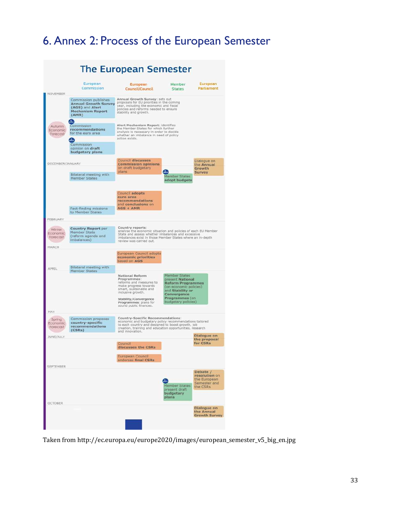# 6. Annex 2: Process of the European Semester

|                                 |                                                                                                                  | <b>The European Semester</b>                                                                                                                                                                                                    |                                                                                                                                                                     |                                                                       |  |  |  |  |
|---------------------------------|------------------------------------------------------------------------------------------------------------------|---------------------------------------------------------------------------------------------------------------------------------------------------------------------------------------------------------------------------------|---------------------------------------------------------------------------------------------------------------------------------------------------------------------|-----------------------------------------------------------------------|--|--|--|--|
| NOVEMBER                        | European<br>Commission                                                                                           | European<br>Council/Council                                                                                                                                                                                                     | Member<br><b>States</b>                                                                                                                                             | European<br>Parliament                                                |  |  |  |  |
|                                 | Commission publishes<br><b>Annual Growth Survey</b><br>(AGS) and Alert<br><b>Mechanism Report</b><br>(AMR)       | Annual Growth Survey: sets out<br>proposals for EU priorities in the coming<br>year, including the economic and fiscal<br>policies and reforms needed to ensure<br>stability and growth.                                        |                                                                                                                                                                     |                                                                       |  |  |  |  |
| Autumn<br>Economic.<br>Forecast | AIRA)<br>Commission<br>recommendations<br>for the euro area<br>Commission<br>opinion on draft<br>budgetary plans | Alert Mechanism Report: identifies<br>the Member States for which further<br>analysis is necessary in order to decide<br>whether an imbalance in need of policy<br>action exists.                                               |                                                                                                                                                                     |                                                                       |  |  |  |  |
| DECEMBER/JANUARY                | Bilateral meeting with<br><b>Member States</b>                                                                   | <b>Council discusses</b><br><b>Commission opinions</b><br>on draft budgetary<br>plans                                                                                                                                           | <br>Member States                                                                                                                                                   | Dialogue on<br>the Annual<br>Growth<br><b>Survey</b>                  |  |  |  |  |
|                                 | Fact-finding missions<br>to Member States                                                                        | Council adopts<br>euro area<br>recommendations<br>and conclusions on<br>$AGS + AMR$                                                                                                                                             | adopt budgets                                                                                                                                                       |                                                                       |  |  |  |  |
| FEBRUARY                        |                                                                                                                  |                                                                                                                                                                                                                                 |                                                                                                                                                                     |                                                                       |  |  |  |  |
| Winter<br>Economic<br>Forecast  | <b>Country Report per</b><br>Member State<br>(reform agenda and<br>imbalances)                                   | Country reports:<br>analyse the economic situation and policies of each EU Member<br>State and assess whether imbalances and excessive<br>imbalances exist in those Member States where an in-depth<br>review was carried out.  |                                                                                                                                                                     |                                                                       |  |  |  |  |
| MARCH                           |                                                                                                                  | European Council adopts<br>economic priorities                                                                                                                                                                                  |                                                                                                                                                                     |                                                                       |  |  |  |  |
| APRIL                           | Bilateral meeting with<br>Member States                                                                          | based on AGS                                                                                                                                                                                                                    |                                                                                                                                                                     |                                                                       |  |  |  |  |
| MAY                             |                                                                                                                  | National Reform<br>Programmes:<br>reforms and measures to<br>make progress towards<br>smart, sustainable and<br>inclusive growth.<br>Stability/Convergence<br>Programmes: plans for<br>sound public finances.                   | Member States<br>present National<br><b>Reform Programmes</b><br>(on economic policies)<br>and Stability or<br>Convergence<br>Programmes (on<br>budgetary policies) |                                                                       |  |  |  |  |
| Spring<br>Economic<br>Forecast  | Commission proposes<br>country-specific<br>recommendations<br>(CSRS)                                             | Country-Specific Recommendations:<br>economic and budgetary policy recommendations tailored<br>to each country and designed to boost growth, job<br>creation, training and education opportunities, research<br>and Innovation. |                                                                                                                                                                     |                                                                       |  |  |  |  |
| JUNE/JULY                       |                                                                                                                  | Council<br>discusses the CSRs<br>European Council<br>endorses final CSRs                                                                                                                                                        |                                                                                                                                                                     | Dialogue on<br>the proposal<br>for CSRs                               |  |  |  |  |
| <b>SEPTEMBER</b>                |                                                                                                                  |                                                                                                                                                                                                                                 | л.<br>Member States<br>present draft<br>budgetary<br>plans.                                                                                                         | Debate /<br>resolution on<br>the European<br>Semester and<br>the CSRs |  |  |  |  |
| <b>OCTOBER</b>                  |                                                                                                                  |                                                                                                                                                                                                                                 |                                                                                                                                                                     | Dialogue on<br>the Annual<br><b>Growth Survey</b>                     |  |  |  |  |

Taken from http://ec.europa.eu/europe2020/images/european\_semester\_v5\_big\_en.jpg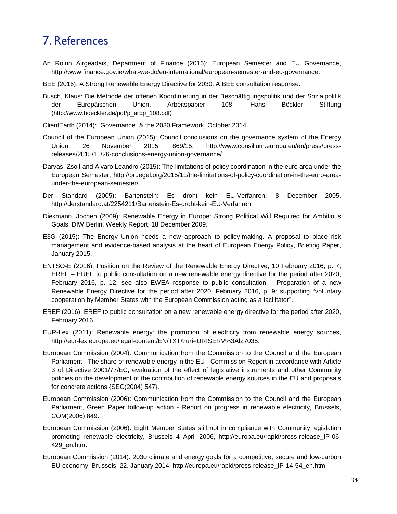### 7. References

- An Roinn Airgeadais, Department of Finance (2016): European Semester and EU Governance, http://www.finance.gov.ie/what-we-do/eu-international/european-semester-and-eu-governance.
- BEE (2016): A Strong Renewable Energy Directive for 2030. A BEE consultation response.
- Busch, Klaus: Die Methode der offenen Koordinierung in der Beschäftigungspolitik und der Sozialpolitik der Europäischen Union, Arbeitspapier 108, Hans Böckler Stiftung (http://www.boeckler.de/pdf/p\_arbp\_108.pdf)
- ClientEarth (2014): "Governance" & the 2030 Framework, October 2014.
- Council of the European Union (2015): Council conclusions on the governance system of the Energy Union, 26 November 2015, 869/15, http://www.consilium.europa.eu/en/press/pressreleases/2015/11/26-conclusions-energy-union-governance/.
- Darvas, Zsolt and Alvaro Leandro (2015): The limitations of policy coordination in the euro area under the European Semester, http://bruegel.org/2015/11/the-limitations-of-policy-coordination-in-the-euro-areaunder-the-european-semester/.
- Der Standard (2005): Bartenstein: Es droht kein EU-Verfahren, 8 December 2005, http://derstandard.at/2254211/Bartenstein-Es-droht-kein-EU-Verfahren.
- Diekmann, Jochen (2009): Renewable Energy in Europe: Strong Political Will Required for Ambitious Goals, DIW Berlin, Weekly Report, 18 December 2009.
- E3G (2015): The Energy Union needs a new approach to policy-making. A proposal to place risk management and evidence-based analysis at the heart of European Energy Policy, Briefing Paper, January 2015.
- ENTSO-E (2016): Position on the Review of the Renewable Energy Directive, 10 February 2016, p. 7; EREF – EREF to public consultation on a new renewable energy directive for the period after 2020, February 2016, p. 12; see also EWEA response to public consultation – Preparation of a new Renewable Energy Directive for the period after 2020, February 2016, p. 9: supporting "voluntary cooperation by Member States with the European Commission acting as a facilitator".
- EREF (2016): EREF to public consultation on a new renewable energy directive for the period after 2020, February 2016.
- EUR-Lex (2011): Renewable energy: the promotion of electricity from renewable energy sources, http://eur-lex.europa.eu/legal-content/EN/TXT/?uri=URISERV%3Al27035.
- European Commission (2004): Communication from the Commission to the Council and the European Parliament - The share of renewable energy in the EU - Commission Report in accordance with Article 3 of Directive 2001/77/EC, evaluation of the effect of legislative instruments and other Community policies on the development of the contribution of renewable energy sources in the EU and proposals for concrete actions {SEC(2004) 547}.
- European Commission (2006): Communication from the Commission to the Council and the European Parliament, Green Paper follow-up action - Report on progress in renewable electricity, Brussels, COM(2006) 849.
- European Commission (2006): Eight Member States still not in compliance with Community legislation promoting renewable electricity, Brussels 4 April 2006, http://europa.eu/rapid/press-release\_IP-06- 429\_en.htm.
- European Commission (2014): 2030 climate and energy goals for a competitive, secure and low-carbon EU economy, Brussels, 22. January 2014, http://europa.eu/rapid/press-release\_IP-14-54\_en.htm.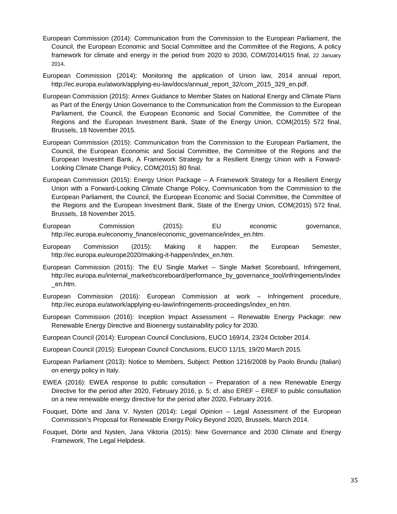- European Commission (2014): Communication from the Commission to the European Parliament, the Council, the European Economic and Social Committee and the Committee of the Regions, A policy framework for climate and energy in the period from 2020 to 2030, COM/2014/015 final, 22 January 2014.
- European Commission (2014): Monitoring the application of Union law, 2014 annual report, http://ec.europa.eu/atwork/applying-eu-law/docs/annual\_report\_32/com\_2015\_329\_en.pdf.
- European Commission (2015): Annex Guidance to Member States on National Energy and Climate Plans as Part of the Energy Union Governance to the Communication from the Commission to the European Parliament, the Council, the European Economic and Social Committee, the Committee of the Regions and the European Investment Bank, State of the Energy Union, COM(2015) 572 final, Brussels, 18 November 2015.
- European Commission (2015): Communication from the Commission to the European Parliament, the Council, the European Economic and Social Committee, the Committee of the Regions and the European Investment Bank, A Framework Strategy for a Resilient Energy Union with a Forward-Looking Climate Change Policy, COM(2015) 80 final.
- European Commission (2015): Energy Union Package A Framework Strategy for a Resilient Energy Union with a Forward-Looking Climate Change Policy, Communication from the Commission to the European Parliament, the Council, the European Economic and Social Committee, the Committee of the Regions and the European Investment Bank, State of the Energy Union, COM(2015) 572 final, Brussels, 18 November 2015.
- European Commission (2015): EU economic governance, http://ec.europa.eu/economy\_finance/economic\_governance/index\_en.htm.
- European Commission (2015): Making it happen: the European Semester, http://ec.europa.eu/europe2020/making-it-happen/index\_en.htm.
- European Commission (2015): The EU Single Market Single Market Scoreboard, Infringement, http://ec.europa.eu/internal\_market/scoreboard/performance\_by\_governance\_tool/infringements/index \_en.htm.
- European Commission (2016): European Commission at work Infringement procedure, http://ec.europa.eu/atwork/applying-eu-law/infringements-proceedings/index\_en.htm.
- European Commission (2016): Inception Impact Assessment Renewable Energy Package: new Renewable Energy Directive and Bioenergy sustainability policy for 2030.
- European Council (2014): European Council Conclusions, EUCO 169/14, 23/24 October 2014.
- European Council (2015): European Council Conclusions, EUCO 11/15, 19/20 March 2015.
- European Parliament (2013): Notice to Members, Subject: Petition 1216/2008 by Paolo Brundu (Italian) on energy policy in Italy.
- EWEA (2016): EWEA response to public consultation Preparation of a new Renewable Energy Directive for the period after 2020, February 2016, p. 5; cf. also EREF – EREF to public consultation on a new renewable energy directive for the period after 2020, February 2016.
- Fouquet, Dörte and Jana V. Nysten (2014): Legal Opinion Legal Assessment of the European Commission's Proposal for Renewable Energy Policy Beyond 2020, Brussels, March 2014.
- Fouquet, Dörte and Nysten, Jana Viktoria (2015): New Governance and 2030 Climate and Energy Framework, The Legal Helpdesk.